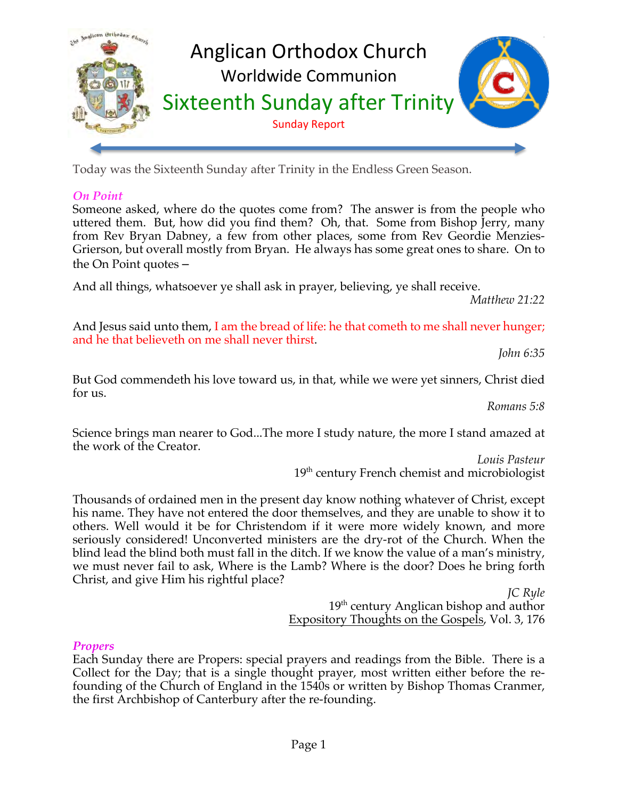

Today was the Sixteenth Sunday after Trinity in the Endless Green Season.

## *On Point*

Someone asked, where do the quotes come from? The answer is from the people who uttered them. But, how did you find them? Oh, that. Some from Bishop Jerry, many from Rev Bryan Dabney, a few from other places, some from Rev Geordie Menzies-Grierson, but overall mostly from Bryan. He always has some great ones to share. On to the On Point quotes –

And all things, whatsoever ye shall ask in prayer, believing, ye shall receive.

*Matthew 21:22*

And Jesus said unto them, I am the bread of life: he that cometh to me shall never hunger; and he that believeth on me shall never thirst.

*John 6:35*

But God commendeth his love toward us, in that, while we were yet sinners, Christ died for us.

*Romans 5:8*

Science brings man nearer to God...The more I study nature, the more I stand amazed at the work of the Creator.

*Louis Pasteur* 19<sup>th</sup> century French chemist and microbiologist

Thousands of ordained men in the present day know nothing whatever of Christ, except his name. They have not entered the door themselves, and they are unable to show it to others. Well would it be for Christendom if it were more widely known, and more seriously considered! Unconverted ministers are the dry-rot of the Church. When the blind lead the blind both must fall in the ditch. If we know the value of a man's ministry, we must never fail to ask, Where is the Lamb? Where is the door? Does he bring forth Christ, and give Him his rightful place?

*JC Ryle* 19<sup>th</sup> century Anglican bishop and author Expository Thoughts on the Gospels, Vol. 3, 176

# *Propers*

Each Sunday there are Propers: special prayers and readings from the Bible. There is a Collect for the Day; that is a single thought prayer, most written either before the refounding of the Church of England in the 1540s or written by Bishop Thomas Cranmer, the first Archbishop of Canterbury after the re-founding.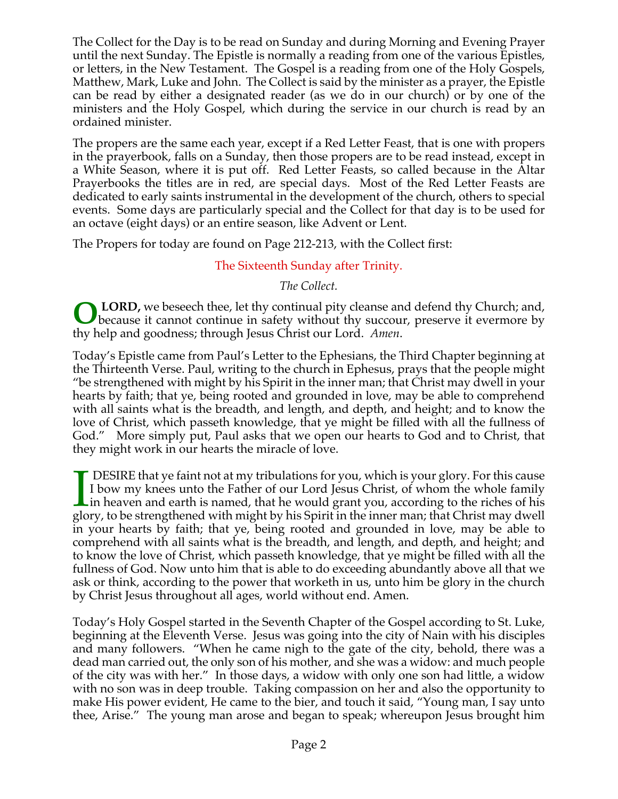The Collect for the Day is to be read on Sunday and during Morning and Evening Prayer until the next Sunday. The Epistle is normally a reading from one of the various Epistles, or letters, in the New Testament. The Gospel is a reading from one of the Holy Gospels, Matthew, Mark, Luke and John. The Collect is said by the minister as a prayer, the Epistle can be read by either a designated reader (as we do in our church) or by one of the ministers and the Holy Gospel, which during the service in our church is read by an ordained minister.

The propers are the same each year, except if a Red Letter Feast, that is one with propers in the prayerbook, falls on a Sunday, then those propers are to be read instead, except in a White Season, where it is put off. Red Letter Feasts, so called because in the Altar Prayerbooks the titles are in red, are special days. Most of the Red Letter Feasts are dedicated to early saints instrumental in the development of the church, others to special events. Some days are particularly special and the Collect for that day is to be used for an octave (eight days) or an entire season, like Advent or Lent.

The Propers for today are found on Page 212-213, with the Collect first:

## The Sixteenth Sunday after Trinity.

*The Collect.*

**LORD**, we beseech thee, let thy continual pity cleanse and defend thy Church; and, because it cannot continue in safety without thy succour, preserve it evermore by thy help and goodness; through Jesus Christ our Lord. *Amen*. **O**

Today's Epistle came from Paul's Letter to the Ephesians, the Third Chapter beginning at the Thirteenth Verse. Paul, writing to the church in Ephesus, prays that the people might "be strengthened with might by his Spirit in the inner man; that Christ may dwell in your hearts by faith; that ye, being rooted and grounded in love, may be able to comprehend with all saints what is the breadth, and length, and depth, and height; and to know the love of Christ, which passeth knowledge, that ye might be filled with all the fullness of God." More simply put, Paul asks that we open our hearts to God and to Christ, that they might work in our hearts the miracle of love.

DESIRE that ye faint not at my tribulations for you, which is your glory. For this cause I bow my knees unto the Father of our Lord Jesus Christ, of whom the whole family in heaven and earth is named, that he would grant you, according to the riches of his glory, to be strengthened with might by his Spirit in the inner man; that Christ may dwell in your hearts by faith; that ye, being rooted and grounded in love, may be able to comprehend with all saints what is the breadth, and length, and depth, and height; and to know the love of Christ, which passeth knowledge, that ye might be filled with all the fullness of God. Now unto him that is able to do exceeding abundantly above all that we ask or think, according to the power that worketh in us, unto him be glory in the church by Christ Jesus throughout all ages, world without end. Amen.  $\prod_{\rm{plo}}$ 

Today's Holy Gospel started in the Seventh Chapter of the Gospel according to St. Luke, beginning at the Eleventh Verse. Jesus was going into the city of Nain with his disciples and many followers. "When he came nigh to the gate of the city, behold, there was a dead man carried out, the only son of his mother, and she was a widow: and much people of the city was with her." In those days, a widow with only one son had little, a widow with no son was in deep trouble. Taking compassion on her and also the opportunity to make His power evident, He came to the bier, and touch it said, "Young man, I say unto thee, Arise." The young man arose and began to speak; whereupon Jesus brought him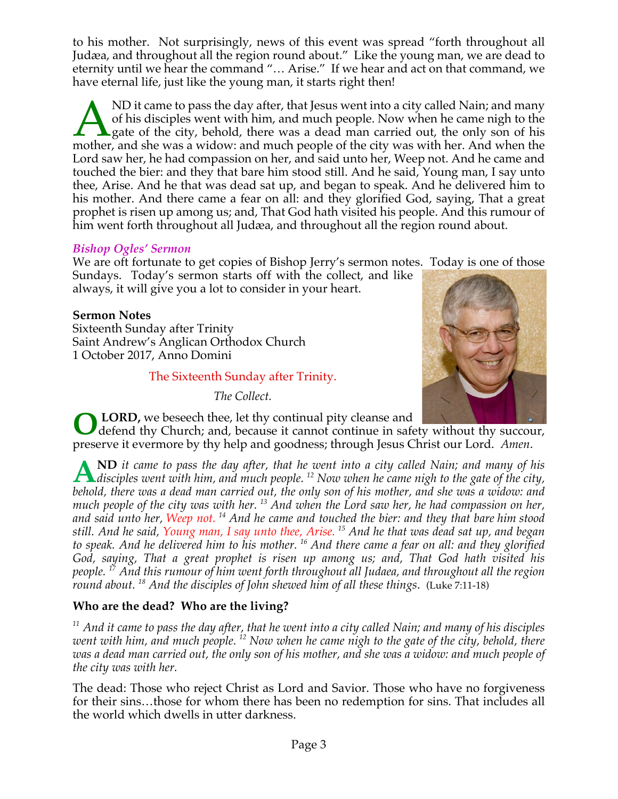to his mother. Not surprisingly, news of this event was spread "forth throughout all Judæa, and throughout all the region round about." Like the young man, we are dead to eternity until we hear the command "… Arise." If we hear and act on that command, we have eternal life, just like the young man, it starts right then!

ND it came to pass the day after, that Jesus went into a city called Nain; and many of his disciples went with him, and much people. Now when he came nigh to the  $\blacktriangle$  gate of the city, behold, there was a dead man carried out, the only son of his ND it came to pass the day after, that Jesus went into a city called Nain; and many of his disciples went with him, and much people. Now when he came nigh to the gate of the city, behold, there was a dead man carried out, Lord saw her, he had compassion on her, and said unto her, Weep not. And he came and touched the bier: and they that bare him stood still. And he said, Young man, I say unto thee, Arise. And he that was dead sat up, and began to speak. And he delivered him to his mother. And there came a fear on all: and they glorified God, saying, That a great prophet is risen up among us; and, That God hath visited his people. And this rumour of him went forth throughout all Judæa, and throughout all the region round about.

## *Bishop Ogles' Sermon*

We are oft fortunate to get copies of Bishop Jerry's sermon notes. Today is one of those Sundays. Today's sermon starts off with the collect, and like always, it will give you a lot to consider in your heart.

### **Sermon Notes**

Sixteenth Sunday after Trinity Saint Andrew's Anglican Orthodox Church 1 October 2017, Anno Domini

## The Sixteenth Sunday after Trinity.

*The Collect.*

**LORD,** we beseech thee, let thy continual pity cleanse and

defend thy Church; and, because it cannot continue in safety without thy succour, preserve it evermore by thy help and goodness; through Jesus Christ our Lord. *Amen*. **O**

**ND** *it came to pass the day after, that he went into a city called Nain; and many of his*  **disciples went with him, and much people.** <sup>12</sup> *Now when he came nigh to the gate of the city, hadded in the intermediate of the city, behold, there was a dead man carried out, the only son of his mother, and she was a widow: and much people of the city was with her. <sup>13</sup> And when the Lord saw her, he had compassion on her, and said unto her, Weep not. <sup>14</sup> And he came and touched the bier: and they that bare him stood still. And he said, Young man, I say unto thee, Arise. <sup>15</sup> And he that was dead sat up, and began to speak. And he delivered him to his mother. <sup>16</sup> And there came a fear on all: and they glorified God, saying, That a great prophet is risen up among us; and, That God hath visited his people. <sup>17</sup> And this rumour of him went forth throughout all Judaea, and throughout all the region round about. <sup>18</sup> And the disciples of John shewed him of all these things*. (Luke 7:11-18)

## **Who are the dead? Who are the living?**

*<sup>11</sup> And it came to pass the day after, that he went into a city called Nain; and many of his disciples went with him, and much people. <sup>12</sup> Now when he came nigh to the gate of the city, behold, there was a dead man carried out, the only son of his mother, and she was a widow: and much people of the city was with her.*

The dead: Those who reject Christ as Lord and Savior. Those who have no forgiveness for their sins…those for whom there has been no redemption for sins. That includes all the world which dwells in utter darkness.

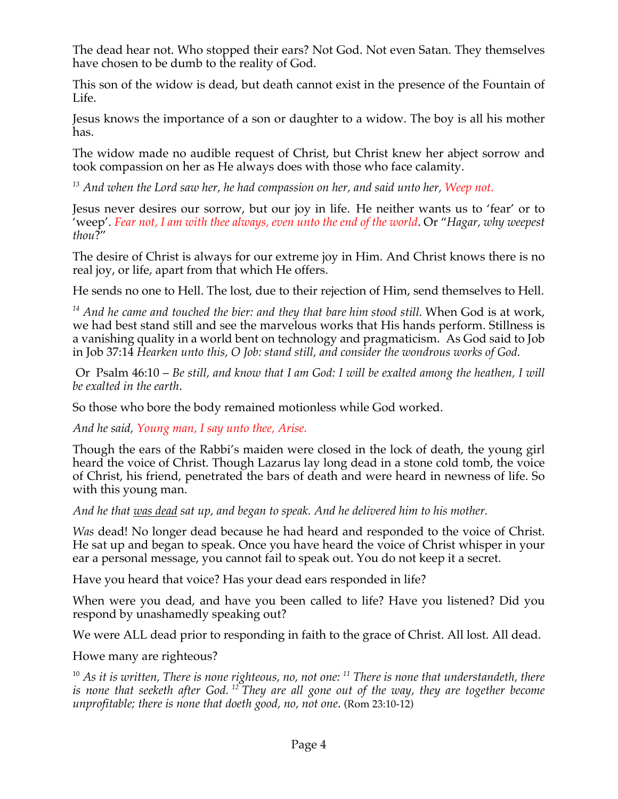The dead hear not. Who stopped their ears? Not God. Not even Satan. They themselves have chosen to be dumb to the reality of God.

This son of the widow is dead, but death cannot exist in the presence of the Fountain of Life.

Jesus knows the importance of a son or daughter to a widow. The boy is all his mother has.

The widow made no audible request of Christ, but Christ knew her abject sorrow and took compassion on her as He always does with those who face calamity.

*<sup>13</sup> And when the Lord saw her, he had compassion on her, and said unto her, Weep not.*

Jesus never desires our sorrow, but our joy in life. He neither wants us to 'fear' or to 'weep'. *Fear not, I am with thee always, even unto the end of the world*. Or "*Hagar, why weepest thou*?"

The desire of Christ is always for our extreme joy in Him. And Christ knows there is no real joy, or life, apart from that which He offers.

He sends no one to Hell. The lost, due to their rejection of Him, send themselves to Hell.

*<sup>14</sup> And he came and touched the bier: and they that bare him stood still.* When God is at work, we had best stand still and see the marvelous works that His hands perform. Stillness is a vanishing quality in a world bent on technology and pragmaticism. As God said to Job in Job 37:14 *Hearken unto this, O Job: stand still, and consider the wondrous works of God.*

Or Psalm 46:10 – *Be still, and know that I am God: I will be exalted among the heathen, I will be exalted in the earth*.

So those who bore the body remained motionless while God worked.

*And he said, Young man, I say unto thee, Arise.*

Though the ears of the Rabbi's maiden were closed in the lock of death, the young girl heard the voice of Christ. Though Lazarus lay long dead in a stone cold tomb, the voice of Christ, his friend, penetrated the bars of death and were heard in newness of life. So with this young man.

*And he that was dead sat up, and began to speak. And he delivered him to his mother.*

*Was* dead! No longer dead because he had heard and responded to the voice of Christ. He sat up and began to speak. Once you have heard the voice of Christ whisper in your ear a personal message, you cannot fail to speak out. You do not keep it a secret.

Have you heard that voice? Has your dead ears responded in life?

When were you dead, and have you been called to life? Have you listened? Did you respond by unashamedly speaking out?

We were ALL dead prior to responding in faith to the grace of Christ. All lost. All dead.

Howe many are righteous?

<sup>10</sup> *As it is written, There is none righteous, no, not one: <sup>11</sup> There is none that understandeth, there is none that seeketh after God. <sup>12</sup> They are all gone out of the way, they are together become unprofitable; there is none that doeth good, no, not one*. (Rom 23:10-12)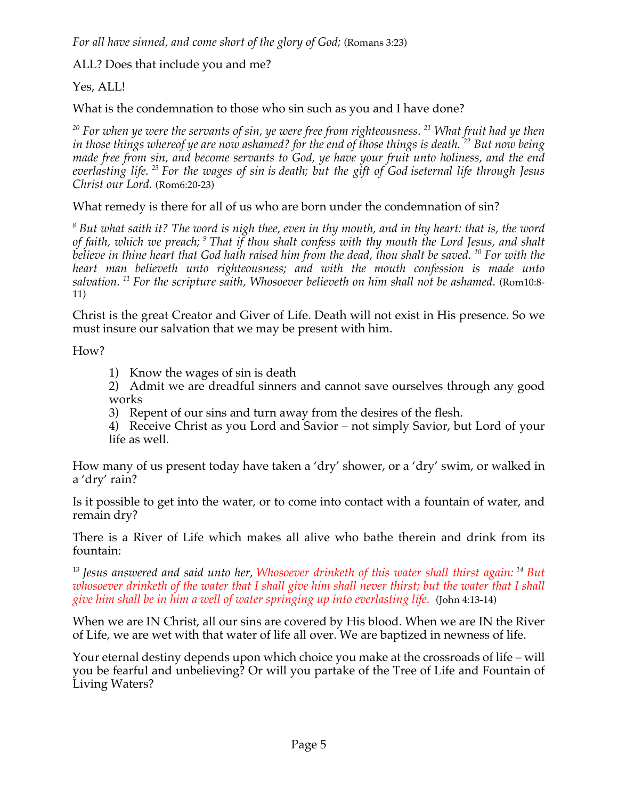ALL? Does that include you and me?

Yes, ALL!

What is the condemnation to those who sin such as you and I have done?

*<sup>20</sup> For when ye were the servants of sin, ye were free from righteousness. <sup>21</sup> What fruit had ye then in those things whereof ye are now ashamed? for the end of those things is death. <sup>22</sup> But now being made free from sin, and become servants to God, ye have your fruit unto holiness, and the end everlasting life. <sup>23</sup> For the wages of sin is death; but the gift of God iseternal life through Jesus Christ our Lord.* (Rom6:20-23)

What remedy is there for all of us who are born under the condemnation of sin?

*<sup>8</sup> But what saith it? The word is nigh thee, even in thy mouth, and in thy heart: that is, the word of faith, which we preach; <sup>9</sup> That if thou shalt confess with thy mouth the Lord Jesus, and shalt believe in thine heart that God hath raised him from the dead, thou shalt be saved. <sup>10</sup> For with the heart man believeth unto righteousness; and with the mouth confession is made unto salvation. <sup>11</sup> For the scripture saith, Whosoever believeth on him shall not be ashamed.* (Rom10:8- 11)

Christ is the great Creator and Giver of Life. Death will not exist in His presence. So we must insure our salvation that we may be present with him.

How?

- 1) Know the wages of sin is death
- 2) Admit we are dreadful sinners and cannot save ourselves through any good works
- 3) Repent of our sins and turn away from the desires of the flesh.
- 4) Receive Christ as you Lord and Savior not simply Savior, but Lord of your life as well.

How many of us present today have taken a 'dry' shower, or a 'dry' swim, or walked in a 'dry' rain?

Is it possible to get into the water, or to come into contact with a fountain of water, and remain dry?

There is a River of Life which makes all alive who bathe therein and drink from its fountain:

<sup>13</sup> *Jesus answered and said unto her, Whosoever drinketh of this water shall thirst again: <sup>14</sup> But whosoever drinketh of the water that I shall give him shall never thirst; but the water that I shall give him shall be in him a well of water springing up into everlasting life.* (John 4:13-14)

When we are IN Christ, all our sins are covered by His blood. When we are IN the River of Life, we are wet with that water of life all over. We are baptized in newness of life.

Your eternal destiny depends upon which choice you make at the crossroads of life – will you be fearful and unbelieving? Or will you partake of the Tree of Life and Fountain of Living Waters?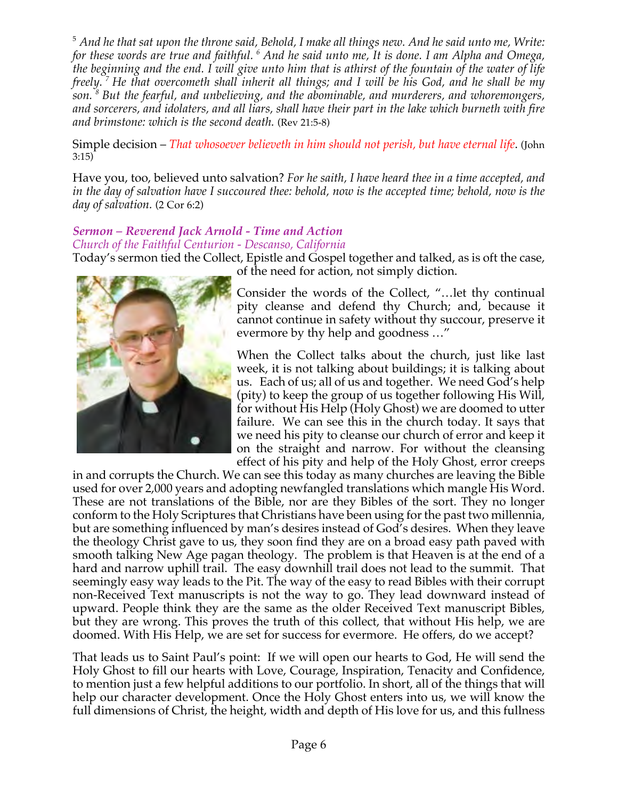<sup>5</sup> *And he that sat upon the throne said, Behold, I make all things new. And he said unto me, Write: for these words are true and faithful. <sup>6</sup> And he said unto me, It is done. I am Alpha and Omega, the beginning and the end. I will give unto him that is athirst of the fountain of the water of life freely. <sup>7</sup> He that overcometh shall inherit all things; and I will be his God, and he shall be my son. <sup>8</sup> But the fearful, and unbelieving, and the abominable, and murderers, and whoremongers, and sorcerers, and idolaters, and all liars, shall have their part in the lake which burneth with fire and brimstone: which is the second death.* (Rev 21:5-8)

Simple decision – *That whosoever believeth in him should not perish, but have eternal life*. (John  $3:15)$ 

Have you, too, believed unto salvation? *For he saith, I have heard thee in a time accepted, and in the day of salvation have I succoured thee: behold, now is the accepted time; behold, now is the day of salvation.* (2 Cor 6:2)

# *Sermon – Reverend Jack Arnold - Time and Action*

*Church of the Faithful Centurion - Descanso, California*

Today's sermon tied the Collect, Epistle and Gospel together and talked, as is oft the case,



of the need for action, not simply diction.

Consider the words of the Collect, "…let thy continual pity cleanse and defend thy Church; and, because it cannot continue in safety without thy succour, preserve it evermore by thy help and goodness …"

When the Collect talks about the church, just like last week, it is not talking about buildings; it is talking about us. Each of us; all of us and together. We need God's help (pity) to keep the group of us together following His Will, for without His Help (Holy Ghost) we are doomed to utter failure. We can see this in the church today. It says that we need his pity to cleanse our church of error and keep it on the straight and narrow. For without the cleansing effect of his pity and help of the Holy Ghost, error creeps

in and corrupts the Church. We can see this today as many churches are leaving the Bible used for over 2,000 years and adopting newfangled translations which mangle His Word. These are not translations of the Bible, nor are they Bibles of the sort. They no longer conform to the Holy Scriptures that Christians have been using for the past two millennia, but are something influenced by man's desires instead of God's desires. When they leave the theology Christ gave to us, they soon find they are on a broad easy path paved with smooth talking New Age pagan theology. The problem is that Heaven is at the end of a hard and narrow uphill trail. The easy downhill trail does not lead to the summit. That seemingly easy way leads to the Pit. The way of the easy to read Bibles with their corrupt non-Received Text manuscripts is not the way to go. They lead downward instead of upward. People think they are the same as the older Received Text manuscript Bibles, but they are wrong. This proves the truth of this collect, that without His help, we are doomed. With His Help, we are set for success for evermore. He offers, do we accept?

That leads us to Saint Paul's point: If we will open our hearts to God, He will send the Holy Ghost to fill our hearts with Love, Courage, Inspiration, Tenacity and Confidence, to mention just a few helpful additions to our portfolio. In short, all of the things that will help our character development. Once the Holy Ghost enters into us, we will know the full dimensions of Christ, the height, width and depth of His love for us, and this fullness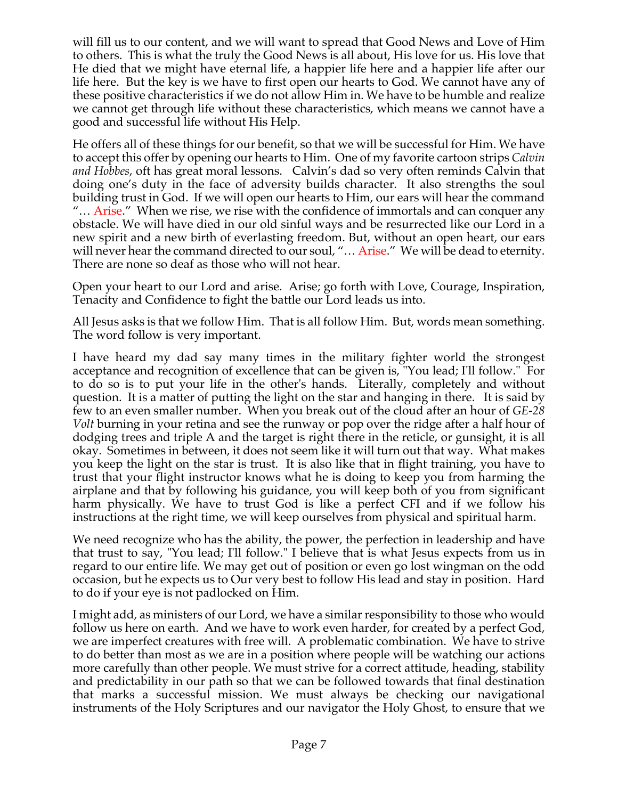will fill us to our content, and we will want to spread that Good News and Love of Him to others. This is what the truly the Good News is all about, His love for us. His love that He died that we might have eternal life, a happier life here and a happier life after our life here. But the key is we have to first open our hearts to God. We cannot have any of these positive characteristics if we do not allow Him in. We have to be humble and realize we cannot get through life without these characteristics, which means we cannot have a good and successful life without His Help.

He offers all of these things for our benefit, so that we will be successful for Him. We have to accept this offer by opening our hearts to Him. One of my favorite cartoon strips *Calvin and Hobbes*, oft has great moral lessons. Calvin's dad so very often reminds Calvin that doing one's duty in the face of adversity builds character. It also strengths the soul building trust in God. If we will open our hearts to Him, our ears will hear the command "... Arise." When we rise, we rise with the confidence of immortals and can conquer any obstacle. We will have died in our old sinful ways and be resurrected like our Lord in a new spirit and a new birth of everlasting freedom. But, without an open heart, our ears will never hear the command directed to our soul, "... Arise." We will be dead to eternity. There are none so deaf as those who will not hear.

Open your heart to our Lord and arise. Arise; go forth with Love, Courage, Inspiration, Tenacity and Confidence to fight the battle our Lord leads us into.

All Jesus asks is that we follow Him. That is all follow Him. But, words mean something. The word follow is very important.

I have heard my dad say many times in the military fighter world the strongest acceptance and recognition of excellence that can be given is, "You lead; I'll follow." For to do so is to put your life in the other's hands. Literally, completely and without question. It is a matter of putting the light on the star and hanging in there. It is said by few to an even smaller number. When you break out of the cloud after an hour of *GE-28 Volt* burning in your retina and see the runway or pop over the ridge after a half hour of dodging trees and triple A and the target is right there in the reticle, or gunsight, it is all okay. Sometimes in between, it does not seem like it will turn out that way. What makes you keep the light on the star is trust. It is also like that in flight training, you have to trust that your flight instructor knows what he is doing to keep you from harming the airplane and that by following his guidance, you will keep both of you from significant harm physically. We have to trust God is like a perfect CFI and if we follow his instructions at the right time, we will keep ourselves from physical and spiritual harm.

We need recognize who has the ability, the power, the perfection in leadership and have that trust to say, "You lead; I'll follow." I believe that is what Jesus expects from us in regard to our entire life. We may get out of position or even go lost wingman on the odd occasion, but he expects us to Our very best to follow His lead and stay in position. Hard to do if your eye is not padlocked on Him.

I might add, as ministers of our Lord, we have a similar responsibility to those who would follow us here on earth. And we have to work even harder, for created by a perfect God, we are imperfect creatures with free will. A problematic combination. We have to strive to do better than most as we are in a position where people will be watching our actions more carefully than other people. We must strive for a correct attitude, heading, stability and predictability in our path so that we can be followed towards that final destination that marks a successful mission. We must always be checking our navigational instruments of the Holy Scriptures and our navigator the Holy Ghost, to ensure that we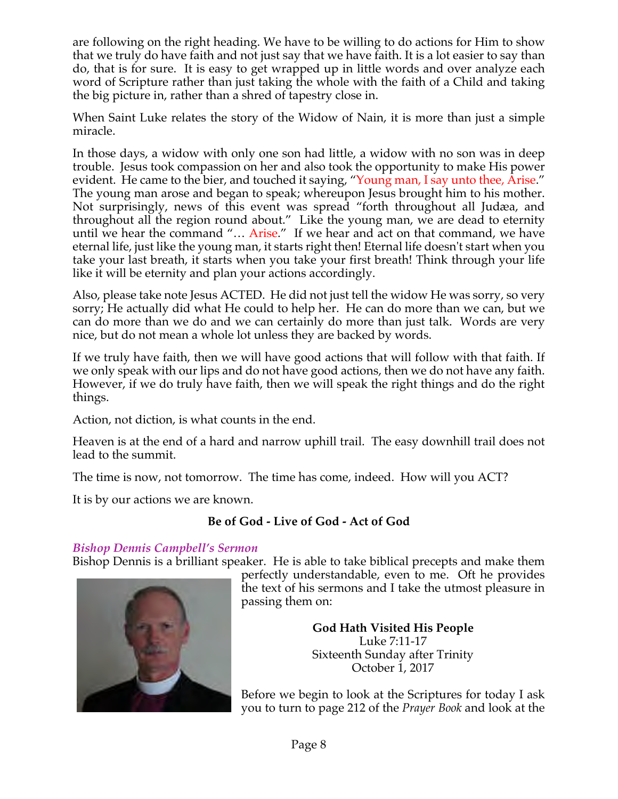are following on the right heading. We have to be willing to do actions for Him to show that we truly do have faith and not just say that we have faith. It is a lot easier to say than do, that is for sure. It is easy to get wrapped up in little words and over analyze each word of Scripture rather than just taking the whole with the faith of a Child and taking the big picture in, rather than a shred of tapestry close in.

When Saint Luke relates the story of the Widow of Nain, it is more than just a simple miracle.

In those days, a widow with only one son had little, a widow with no son was in deep trouble. Jesus took compassion on her and also took the opportunity to make His power evident. He came to the bier, and touched it saying, "Young man, I say unto thee, Arise." The young man arose and began to speak; whereupon Jesus brought him to his mother. Not surprisingly, news of this event was spread "forth throughout all Judæa, and throughout all the region round about." Like the young man, we are dead to eternity until we hear the command "… Arise." If we hear and act on that command, we have eternal life, just like the young man, it starts right then! Eternal life doesn't start when you take your last breath, it starts when you take your first breath! Think through your life like it will be eternity and plan your actions accordingly.

Also, please take note Jesus ACTED. He did not just tell the widow He was sorry, so very sorry; He actually did what He could to help her. He can do more than we can, but we can do more than we do and we can certainly do more than just talk. Words are very nice, but do not mean a whole lot unless they are backed by words.

If we truly have faith, then we will have good actions that will follow with that faith. If we only speak with our lips and do not have good actions, then we do not have any faith. However, if we do truly have faith, then we will speak the right things and do the right things.

Action, not diction, is what counts in the end.

Heaven is at the end of a hard and narrow uphill trail. The easy downhill trail does not lead to the summit.

The time is now, not tomorrow. The time has come, indeed. How will you ACT?

It is by our actions we are known.

# **Be of God - Live of God - Act of God**

### *Bishop Dennis Campbell's Sermon*

Bishop Dennis is a brilliant speaker. He is able to take biblical precepts and make them



perfectly understandable, even to me. Oft he provides the text of his sermons and I take the utmost pleasure in passing them on:

**God Hath Visited His People**

Luke 7:11-17 Sixteenth Sunday after Trinity October 1, 2017

Before we begin to look at the Scriptures for today I ask you to turn to page 212 of the *Prayer Book* and look at the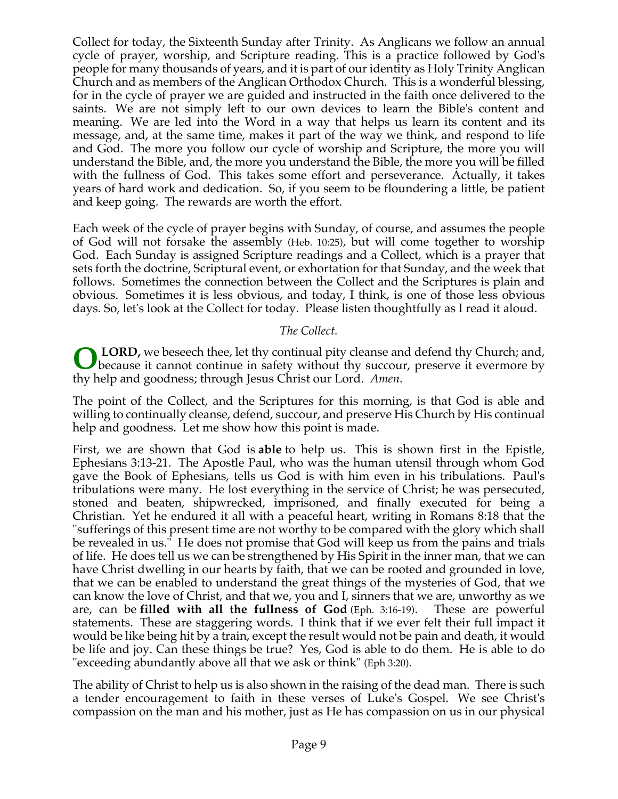Collect for today, the Sixteenth Sunday after Trinity. As Anglicans we follow an annual cycle of prayer, worship, and Scripture reading. This is a practice followed by God's people for many thousands of years, and it is part of our identity as Holy Trinity Anglican Church and as members of the Anglican Orthodox Church. This is a wonderful blessing, for in the cycle of prayer we are guided and instructed in the faith once delivered to the saints. We are not simply left to our own devices to learn the Bible's content and meaning. We are led into the Word in a way that helps us learn its content and its message, and, at the same time, makes it part of the way we think, and respond to life and God. The more you follow our cycle of worship and Scripture, the more you will understand the Bible, and, the more you understand the Bible, the more you will be filled with the fullness of God. This takes some effort and perseverance. Actually, it takes years of hard work and dedication. So, if you seem to be floundering a little, be patient and keep going. The rewards are worth the effort.

Each week of the cycle of prayer begins with Sunday, of course, and assumes the people of God will not forsake the assembly (Heb. 10:25), but will come together to worship God. Each Sunday is assigned Scripture readings and a Collect, which is a prayer that sets forth the doctrine, Scriptural event, or exhortation for that Sunday, and the week that follows. Sometimes the connection between the Collect and the Scriptures is plain and obvious. Sometimes it is less obvious, and today, I think, is one of those less obvious days. So, let's look at the Collect for today. Please listen thoughtfully as I read it aloud.

*The Collect.*

**LORD**, we beseech thee, let thy continual pity cleanse and defend thy Church; and, **O** LORD, we beseech thee, let thy continual pity cleanse and defend thy Church; and, because it cannot continue in safety without thy succour, preserve it evermore by thy help and goodness; through Jesus Christ our Lord. *Amen*.

The point of the Collect, and the Scriptures for this morning, is that God is able and willing to continually cleanse, defend, succour, and preserve His Church by His continual help and goodness. Let me show how this point is made.

First, we are shown that God is **able** to help us. This is shown first in the Epistle, Ephesians 3:13-21. The Apostle Paul, who was the human utensil through whom God gave the Book of Ephesians, tells us God is with him even in his tribulations. Paul's tribulations were many. He lost everything in the service of Christ; he was persecuted, stoned and beaten, shipwrecked, imprisoned, and finally executed for being a Christian. Yet he endured it all with a peaceful heart, writing in Romans 8:18 that the "sufferings of this present time are not worthy to be compared with the glory which shall be revealed in us." He does not promise that God will keep us from the pains and trials of life. He does tell us we can be strengthened by His Spirit in the inner man, that we can have Christ dwelling in our hearts by faith, that we can be rooted and grounded in love, that we can be enabled to understand the great things of the mysteries of God, that we can know the love of Christ, and that we, you and I, sinners that we are, unworthy as we are, can be **filled with all the fullness of God** (Eph. 3:16-19). These are powerful statements. These are staggering words. I think that if we ever felt their full impact it would be like being hit by a train, except the result would not be pain and death, it would be life and joy. Can these things be true? Yes, God is able to do them. He is able to do "exceeding abundantly above all that we ask or think" (Eph 3:20).

The ability of Christ to help us is also shown in the raising of the dead man. There is such a tender encouragement to faith in these verses of Luke's Gospel. We see Christ's compassion on the man and his mother, just as He has compassion on us in our physical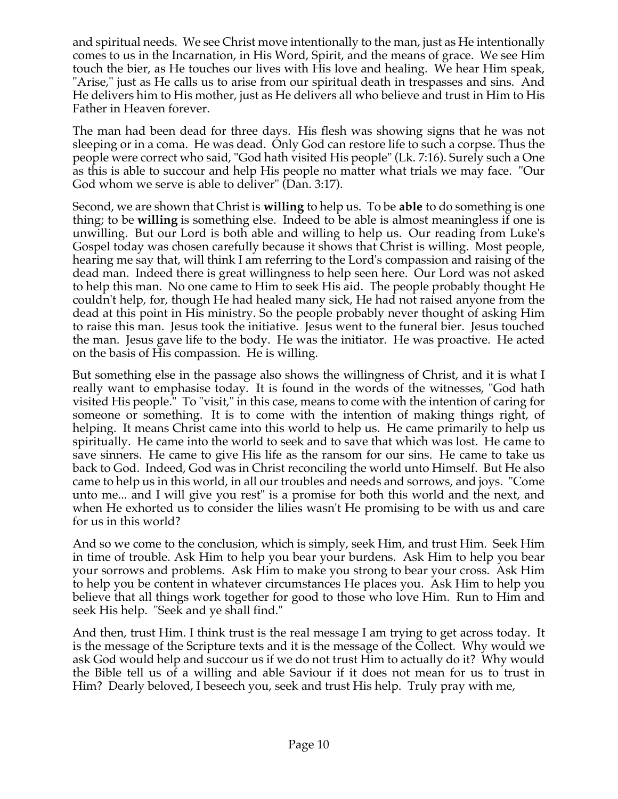and spiritual needs. We see Christ move intentionally to the man, just as He intentionally comes to us in the Incarnation, in His Word, Spirit, and the means of grace. We see Him touch the bier, as He touches our lives with His love and healing. We hear Him speak, "Arise," just as He calls us to arise from our spiritual death in trespasses and sins. And He delivers him to His mother, just as He delivers all who believe and trust in Him to His Father in Heaven forever.

The man had been dead for three days. His flesh was showing signs that he was not sleeping or in a coma. He was dead. Only God can restore life to such a corpse. Thus the people were correct who said, "God hath visited His people" (Lk. 7:16). Surely such a One as this is able to succour and help His people no matter what trials we may face. "Our God whom we serve is able to deliver" (Dan. 3:17).

Second, we are shown that Christ is **willing** to help us. To be **able** to do something is one thing; to be **willing** is something else. Indeed to be able is almost meaningless if one is unwilling. But our Lord is both able and willing to help us. Our reading from Luke's Gospel today was chosen carefully because it shows that Christ is willing. Most people, hearing me say that, will think I am referring to the Lord's compassion and raising of the dead man. Indeed there is great willingness to help seen here. Our Lord was not asked to help this man. No one came to Him to seek His aid. The people probably thought He couldn't help, for, though He had healed many sick, He had not raised anyone from the dead at this point in His ministry. So the people probably never thought of asking Him to raise this man. Jesus took the initiative. Jesus went to the funeral bier. Jesus touched the man. Jesus gave life to the body. He was the initiator. He was proactive. He acted on the basis of His compassion. He is willing.

But something else in the passage also shows the willingness of Christ, and it is what I really want to emphasise today. It is found in the words of the witnesses, "God hath visited His people." To "visit," in this case, means to come with the intention of caring for someone or something. It is to come with the intention of making things right, of helping. It means Christ came into this world to help us. He came primarily to help us spiritually. He came into the world to seek and to save that which was lost. He came to save sinners. He came to give His life as the ransom for our sins. He came to take us back to God. Indeed, God was in Christ reconciling the world unto Himself. But He also came to help us in this world, in all our troubles and needs and sorrows, and joys. "Come unto me... and I will give you rest" is a promise for both this world and the next, and when He exhorted us to consider the lilies wasn't He promising to be with us and care for us in this world?

And so we come to the conclusion, which is simply, seek Him, and trust Him. Seek Him in time of trouble. Ask Him to help you bear your burdens. Ask Him to help you bear your sorrows and problems. Ask Him to make you strong to bear your cross. Ask Him to help you be content in whatever circumstances He places you. Ask Him to help you believe that all things work together for good to those who love Him. Run to Him and seek His help. "Seek and ye shall find."

And then, trust Him. I think trust is the real message I am trying to get across today. It is the message of the Scripture texts and it is the message of the Collect. Why would we ask God would help and succour us if we do not trust Him to actually do it? Why would the Bible tell us of a willing and able Saviour if it does not mean for us to trust in Him? Dearly beloved, I beseech you, seek and trust His help. Truly pray with me,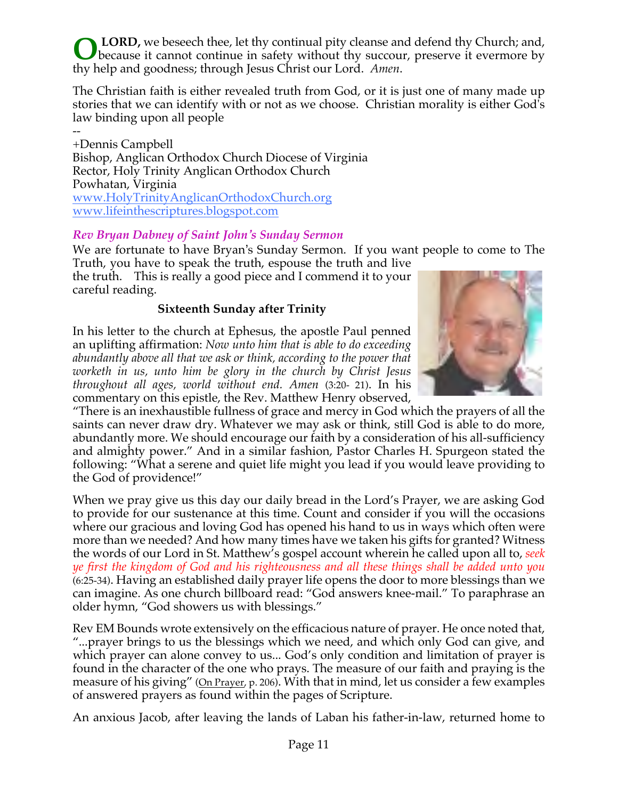**LORD,** we beseech thee, let thy continual pity cleanse and defend thy Church; and, because it cannot continue in safety without thy succour, preserve it evermore by thy help and goodness; through Jesus Christ our Lord. *Amen*. **O**

The Christian faith is either revealed truth from God, or it is just one of many made up stories that we can identify with or not as we choose. Christian morality is either God's law binding upon all people

-- +Dennis Campbell Bishop, Anglican Orthodox Church Diocese of Virginia Rector, Holy Trinity Anglican Orthodox Church Powhatan, Virginia www.HolyTrinityAnglicanOrthodoxChurch.org www.lifeinthescriptures.blogspot.com

## *Rev Bryan Dabney of Saint John's Sunday Sermon*

We are fortunate to have Bryan's Sunday Sermon. If you want people to come to The Truth, you have to speak the truth, espouse the truth and live

the truth. This is really a good piece and I commend it to your careful reading.

## **Sixteenth Sunday after Trinity**

In his letter to the church at Ephesus, the apostle Paul penned an uplifting affirmation: *Now unto him that is able to do exceeding abundantly above all that we ask or think, according to the power that worketh in us, unto him be glory in the church by Christ Jesus throughout all ages, world without end. Amen* (3:20- 21). In his commentary on this epistle, the Rev. Matthew Henry observed,



"There is an inexhaustible fullness of grace and mercy in God which the prayers of all the saints can never draw dry. Whatever we may ask or think, still God is able to do more, abundantly more. We should encourage our faith by a consideration of his all-sufficiency and almighty power." And in a similar fashion, Pastor Charles H. Spurgeon stated the following: "What a serene and quiet life might you lead if you would leave providing to the God of providence!"

When we pray give us this day our daily bread in the Lord's Prayer, we are asking God to provide for our sustenance at this time. Count and consider if you will the occasions where our gracious and loving God has opened his hand to us in ways which often were more than we needed? And how many times have we taken his gifts for granted? Witness the words of our Lord in St. Matthew's gospel account wherein he called upon all to, *seek ye first the kingdom of God and his righteousness and all these things shall be added unto you* (6:25-34). Having an established daily prayer life opens the door to more blessings than we can imagine. As one church billboard read: "God answers knee-mail." To paraphrase an older hymn, "God showers us with blessings."

Rev EM Bounds wrote extensively on the efficacious nature of prayer. He once noted that, "...prayer brings to us the blessings which we need, and which only God can give, and which prayer can alone convey to us... God's only condition and limitation of prayer is found in the character of the one who prays. The measure of our faith and praying is the measure of his giving" (On Prayer, p. 206). With that in mind, let us consider a few examples of answered prayers as found within the pages of Scripture.

An anxious Jacob, after leaving the lands of Laban his father-in-law, returned home to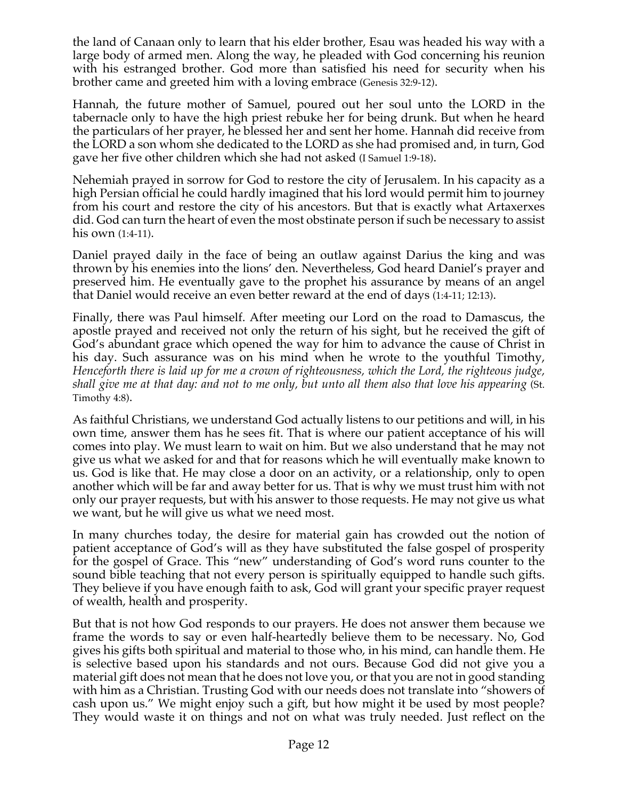the land of Canaan only to learn that his elder brother, Esau was headed his way with a large body of armed men. Along the way, he pleaded with God concerning his reunion with his estranged brother. God more than satisfied his need for security when his brother came and greeted him with a loving embrace (Genesis 32:9-12).

Hannah, the future mother of Samuel, poured out her soul unto the LORD in the tabernacle only to have the high priest rebuke her for being drunk. But when he heard the particulars of her prayer, he blessed her and sent her home. Hannah did receive from the LORD a son whom she dedicated to the LORD as she had promised and, in turn, God gave her five other children which she had not asked (I Samuel 1:9-18).

Nehemiah prayed in sorrow for God to restore the city of Jerusalem. In his capacity as a high Persian official he could hardly imagined that his lord would permit him to journey from his court and restore the city of his ancestors. But that is exactly what Artaxerxes did. God can turn the heart of even the most obstinate person if such be necessary to assist his own (1:4-11).

Daniel prayed daily in the face of being an outlaw against Darius the king and was thrown by his enemies into the lions' den. Nevertheless, God heard Daniel's prayer and preserved him. He eventually gave to the prophet his assurance by means of an angel that Daniel would receive an even better reward at the end of days (1:4-11; 12:13).

Finally, there was Paul himself. After meeting our Lord on the road to Damascus, the apostle prayed and received not only the return of his sight, but he received the gift of God's abundant grace which opened the way for him to advance the cause of Christ in his day. Such assurance was on his mind when he wrote to the youthful Timothy, *Henceforth there is laid up for me a crown of righteousness, which the Lord, the righteous judge,* shall give me at that day: and not to me only, but unto all them also that love his appearing (St. Timothy 4:8).

As faithful Christians, we understand God actually listens to our petitions and will, in his own time, answer them has he sees fit. That is where our patient acceptance of his will comes into play. We must learn to wait on him. But we also understand that he may not give us what we asked for and that for reasons which he will eventually make known to us. God is like that. He may close a door on an activity, or a relationship, only to open another which will be far and away better for us. That is why we must trust him with not only our prayer requests, but with his answer to those requests. He may not give us what we want, but he will give us what we need most.

In many churches today, the desire for material gain has crowded out the notion of patient acceptance of God's will as they have substituted the false gospel of prosperity for the gospel of Grace. This "new" understanding of God's word runs counter to the sound bible teaching that not every person is spiritually equipped to handle such gifts. They believe if you have enough faith to ask, God will grant your specific prayer request of wealth, health and prosperity.

But that is not how God responds to our prayers. He does not answer them because we frame the words to say or even half-heartedly believe them to be necessary. No, God gives his gifts both spiritual and material to those who, in his mind, can handle them. He is selective based upon his standards and not ours. Because God did not give you a material gift does not mean that he does not love you, or that you are not in good standing with him as a Christian. Trusting God with our needs does not translate into "showers of cash upon us." We might enjoy such a gift, but how might it be used by most people? They would waste it on things and not on what was truly needed. Just reflect on the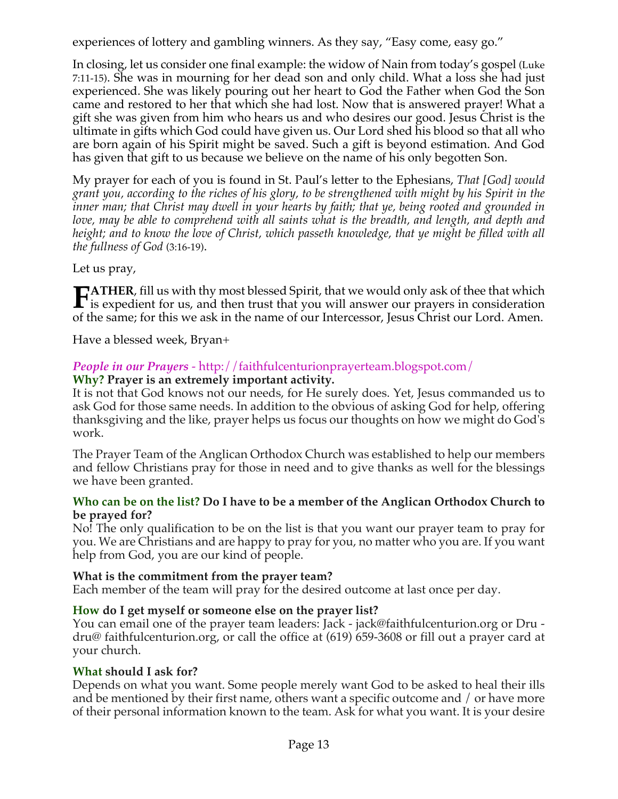experiences of lottery and gambling winners. As they say, "Easy come, easy go."

In closing, let us consider one final example: the widow of Nain from today's gospel (Luke 7:11-15). She was in mourning for her dead son and only child. What a loss she had just experienced. She was likely pouring out her heart to God the Father when God the Son came and restored to her that which she had lost. Now that is answered prayer! What a gift she was given from him who hears us and who desires our good. Jesus Christ is the ultimate in gifts which God could have given us. Our Lord shed his blood so that all who are born again of his Spirit might be saved. Such a gift is beyond estimation. And God has given that gift to us because we believe on the name of his only begotten Son.

My prayer for each of you is found in St. Paul's letter to the Ephesians, *That [God] would* grant you, according to the riches of his glory, to be strengthened with might by his Spirit in the *inner man; that Christ may dwell in your hearts by faith; that ye, being rooted and grounded in love, may be able to comprehend with all saints what is the breadth, and length, and depth and height; and to know the love of Christ, which passeth knowledge, that ye might be filled with all the fullness of God* (3:16-19).

Let us pray,

**ATHER**, fill us with thy most blessed Spirit, that we would only ask of thee that which **is expedient for us, and then trust that you will answer our prayers in consideration**<br> **F** is expedient for us, and then trust that you will answer our prayers in consideration of the same; for this we ask in the name of our Intercessor, Jesus Christ our Lord. Amen.

Have a blessed week, Bryan+

# *People in our Prayers* - http://faithfulcenturionprayerteam.blogspot.com/

## **Why? Prayer is an extremely important activity.**

It is not that God knows not our needs, for He surely does. Yet, Jesus commanded us to ask God for those same needs. In addition to the obvious of asking God for help, offering thanksgiving and the like, prayer helps us focus our thoughts on how we might do God's work.

The Prayer Team of the Anglican Orthodox Church was established to help our members and fellow Christians pray for those in need and to give thanks as well for the blessings we have been granted.

### **Who can be on the list? Do I have to be a member of the Anglican Orthodox Church to be prayed for?**

No! The only qualification to be on the list is that you want our prayer team to pray for you. We are Christians and are happy to pray for you, no matter who you are. If you want help from God, you are our kind of people.

## **What is the commitment from the prayer team?**

Each member of the team will pray for the desired outcome at last once per day.

## **How do I get myself or someone else on the prayer list?**

You can email one of the prayer team leaders: Jack - jack@faithfulcenturion.org or Dru dru@ faithfulcenturion.org, or call the office at (619) 659-3608 or fill out a prayer card at your church.

## **What should I ask for?**

Depends on what you want. Some people merely want God to be asked to heal their ills and be mentioned by their first name, others want a specific outcome and / or have more of their personal information known to the team. Ask for what you want. It is your desire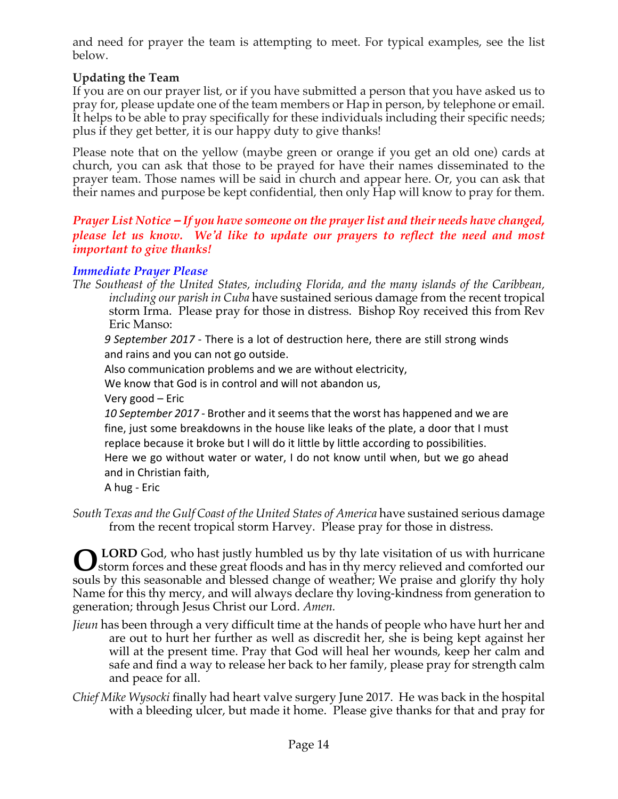and need for prayer the team is attempting to meet. For typical examples, see the list below.

# **Updating the Team**

If you are on our prayer list, or if you have submitted a person that you have asked us to pray for, please update one of the team members or Hap in person, by telephone or email. It helps to be able to pray specifically for these individuals including their specific needs; plus if they get better, it is our happy duty to give thanks!

Please note that on the yellow (maybe green or orange if you get an old one) cards at church, you can ask that those to be prayed for have their names disseminated to the prayer team. Those names will be said in church and appear here. Or, you can ask that their names and purpose be kept confidential, then only Hap will know to pray for them.

*Prayer List Notice – If you have someone on the prayer list and their needs have changed, please let us know. We'd like to update our prayers to reflect the need and most important to give thanks!*

### *Immediate Prayer Please*

*The Southeast of the United States, including Florida, and the many islands of the Caribbean, including our parish in Cuba* have sustained serious damage from the recent tropical storm Irma. Please pray for those in distress. Bishop Roy received this from Rev Eric Manso:

9 September 2017 - There is a lot of destruction here, there are still strong winds and rains and you can not go outside.

Also communication problems and we are without electricity,

We know that God is in control and will not abandon us,

Very good – Eric

10 September 2017 - Brother and it seems that the worst has happened and we are fine, just some breakdowns in the house like leaks of the plate, a door that I must replace because it broke but I will do it little by little according to possibilities. Here we go without water or water, I do not know until when, but we go ahead and in Christian faith,

A hug - Eric

*South Texas and the Gulf Coast of the United States of America* have sustained serious damage from the recent tropical storm Harvey. Please pray for those in distress.

**LORD** God, who hast justly humbled us by thy late visitation of us with hurricane **O** LORD God, who hast justly humbled us by thy late visitation of us with hurricane storm forces and these great floods and has in thy mercy relieved and comforted our souls by this seasonable and blessed change of weather; We praise and glorify thy holy Name for this thy mercy, and will always declare thy loving-kindness from generation to generation; through Jesus Christ our Lord. *Amen.*

*Jieun* has been through a very difficult time at the hands of people who have hurt her and are out to hurt her further as well as discredit her, she is being kept against her will at the present time. Pray that God will heal her wounds, keep her calm and safe and find a way to release her back to her family, please pray for strength calm and peace for all.

*Chief Mike Wysocki* finally had heart valve surgery June 2017. He was back in the hospital with a bleeding ulcer, but made it home. Please give thanks for that and pray for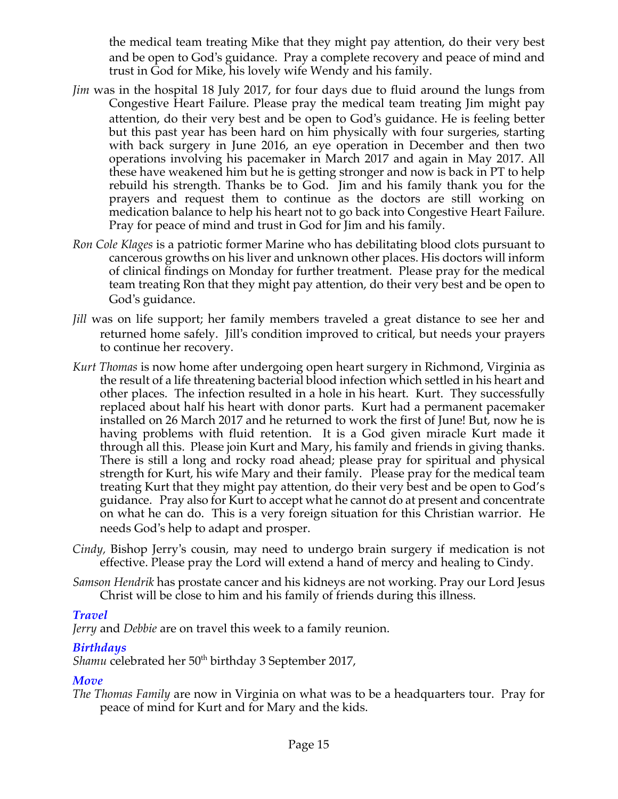the medical team treating Mike that they might pay attention, do their very best and be open to God's guidance. Pray a complete recovery and peace of mind and trust in God for Mike, his lovely wife Wendy and his family.

- *Jim* was in the hospital 18 July 2017, for four days due to fluid around the lungs from Congestive Heart Failure. Please pray the medical team treating Jim might pay attention, do their very best and be open to God's guidance. He is feeling better but this past year has been hard on him physically with four surgeries, starting with back surgery in June 2016, an eye operation in December and then two operations involving his pacemaker in March 2017 and again in May 2017. All these have weakened him but he is getting stronger and now is back in PT to help rebuild his strength. Thanks be to God. Jim and his family thank you for the prayers and request them to continue as the doctors are still working on medication balance to help his heart not to go back into Congestive Heart Failure. Pray for peace of mind and trust in God for Jim and his family.
- *Ron Cole Klages* is a patriotic former Marine who has debilitating blood clots pursuant to cancerous growths on his liver and unknown other places. His doctors will inform of clinical findings on Monday for further treatment. Please pray for the medical team treating Ron that they might pay attention, do their very best and be open to God's guidance.
- *Jill* was on life support; her family members traveled a great distance to see her and returned home safely. Jill's condition improved to critical, but needs your prayers to continue her recovery.
- *Kurt Thomas* is now home after undergoing open heart surgery in Richmond, Virginia as the result of a life threatening bacterial blood infection which settled in his heart and other places. The infection resulted in a hole in his heart. Kurt. They successfully replaced about half his heart with donor parts. Kurt had a permanent pacemaker installed on 26 March 2017 and he returned to work the first of June! But, now he is having problems with fluid retention. It is a God given miracle Kurt made it through all this. Please join Kurt and Mary, his family and friends in giving thanks. There is still a long and rocky road ahead; please pray for spiritual and physical strength for Kurt, his wife Mary and their family. Please pray for the medical team treating Kurt that they might pay attention, do their very best and be open to God's guidance. Pray also for Kurt to accept what he cannot do at present and concentrate on what he can do. This is a very foreign situation for this Christian warrior. He needs God's help to adapt and prosper.
- *Cindy,* Bishop Jerry's cousin, may need to undergo brain surgery if medication is not effective. Please pray the Lord will extend a hand of mercy and healing to Cindy.
- *Samson Hendrik* has prostate cancer and his kidneys are not working. Pray our Lord Jesus Christ will be close to him and his family of friends during this illness.

## *Travel*

*Jerry* and *Debbie* are on travel this week to a family reunion.

# *Birthdays*

Shamu celebrated her 50<sup>th</sup> birthday 3 September 2017,

# *Move*

*The Thomas Family* are now in Virginia on what was to be a headquarters tour. Pray for peace of mind for Kurt and for Mary and the kids.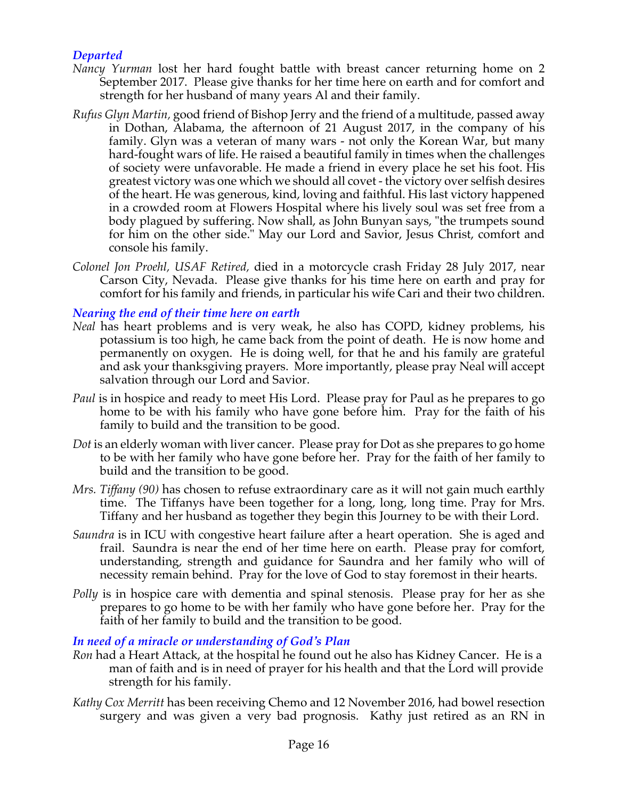## *Departed*

- *Nancy Yurman* lost her hard fought battle with breast cancer returning home on 2 September 2017. Please give thanks for her time here on earth and for comfort and strength for her husband of many years Al and their family.
- *Rufus Glyn Martin,* good friend of Bishop Jerry and the friend of a multitude, passed away in Dothan, Alabama, the afternoon of 21 August 2017, in the company of his family. Glyn was a veteran of many wars - not only the Korean War, but many hard-fought wars of life. He raised a beautiful family in times when the challenges of society were unfavorable. He made a friend in every place he set his foot. His greatest victory was one which we should all covet - the victory over selfish desires of the heart. He was generous, kind, loving and faithful. His last victory happened in a crowded room at Flowers Hospital where his lively soul was set free from a body plagued by suffering. Now shall, as John Bunyan says, "the trumpets sound for him on the other side." May our Lord and Savior, Jesus Christ, comfort and console his family.
- *Colonel Jon Proehl, USAF Retired,* died in a motorcycle crash Friday 28 July 2017, near Carson City, Nevada. Please give thanks for his time here on earth and pray for comfort for his family and friends, in particular his wife Cari and their two children.

### *Nearing the end of their time here on earth*

- *Neal* has heart problems and is very weak, he also has COPD, kidney problems, his potassium is too high, he came back from the point of death. He is now home and permanently on oxygen. He is doing well, for that he and his family are grateful and ask your thanksgiving prayers. More importantly, please pray Neal will accept salvation through our Lord and Savior.
- *Paul* is in hospice and ready to meet His Lord. Please pray for Paul as he prepares to go home to be with his family who have gone before him. Pray for the faith of his family to build and the transition to be good.
- *Dot* is an elderly woman with liver cancer. Please pray for Dot as she prepares to go home to be with her family who have gone before her. Pray for the faith of her family to build and the transition to be good.
- *Mrs. Tiffany (90)* has chosen to refuse extraordinary care as it will not gain much earthly time. The Tiffanys have been together for a long, long, long time. Pray for Mrs. Tiffany and her husband as together they begin this Journey to be with their Lord.
- *Saundra* is in ICU with congestive heart failure after a heart operation. She is aged and frail. Saundra is near the end of her time here on earth. Please pray for comfort, understanding, strength and guidance for Saundra and her family who will of necessity remain behind. Pray for the love of God to stay foremost in their hearts.
- *Polly* is in hospice care with dementia and spinal stenosis. Please pray for her as she prepares to go home to be with her family who have gone before her. Pray for the faith of her family to build and the transition to be good.

*In need of a miracle or understanding of God's Plan*

- *Ron* had a Heart Attack, at the hospital he found out he also has Kidney Cancer. He is a man of faith and is in need of prayer for his health and that the Lord will provide strength for his family.
- *Kathy Cox Merritt* has been receiving Chemo and 12 November 2016, had bowel resection surgery and was given a very bad prognosis. Kathy just retired as an RN in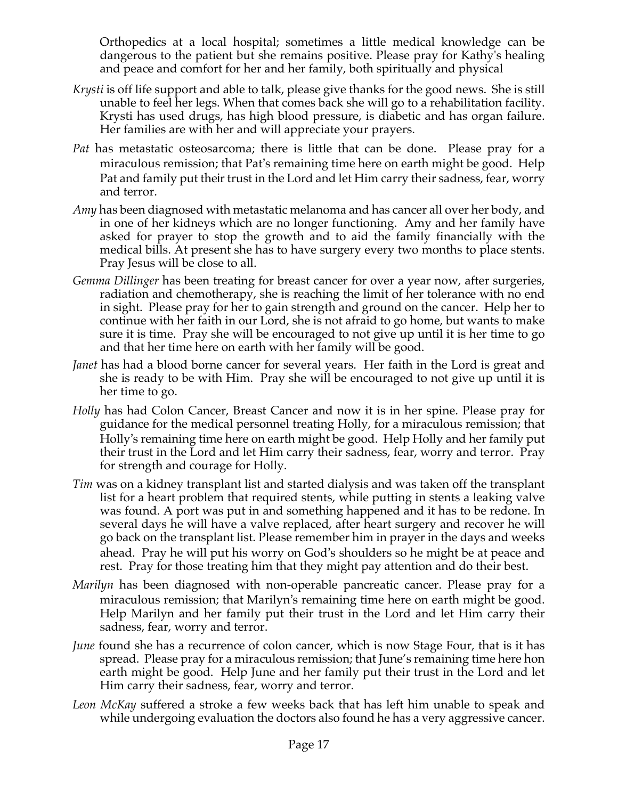Orthopedics at a local hospital; sometimes a little medical knowledge can be dangerous to the patient but she remains positive. Please pray for Kathy's healing and peace and comfort for her and her family, both spiritually and physical

- *Krysti* is off life support and able to talk, please give thanks for the good news. She is still unable to feel her legs. When that comes back she will go to a rehabilitation facility. Krysti has used drugs, has high blood pressure, is diabetic and has organ failure. Her families are with her and will appreciate your prayers.
- *Pat* has metastatic osteosarcoma; there is little that can be done. Please pray for a miraculous remission; that Pat's remaining time here on earth might be good. Help Pat and family put their trust in the Lord and let Him carry their sadness, fear, worry and terror.
- *Amy* has been diagnosed with metastatic melanoma and has cancer all over her body, and in one of her kidneys which are no longer functioning. Amy and her family have asked for prayer to stop the growth and to aid the family financially with the medical bills. At present she has to have surgery every two months to place stents. Pray Jesus will be close to all.
- *Gemma Dillinger* has been treating for breast cancer for over a year now, after surgeries, radiation and chemotherapy, she is reaching the limit of her tolerance with no end in sight. Please pray for her to gain strength and ground on the cancer. Help her to continue with her faith in our Lord, she is not afraid to go home, but wants to make sure it is time. Pray she will be encouraged to not give up until it is her time to go and that her time here on earth with her family will be good.
- *Janet* has had a blood borne cancer for several years. Her faith in the Lord is great and she is ready to be with Him. Pray she will be encouraged to not give up until it is her time to go.
- *Holly* has had Colon Cancer, Breast Cancer and now it is in her spine. Please pray for guidance for the medical personnel treating Holly, for a miraculous remission; that Holly's remaining time here on earth might be good. Help Holly and her family put their trust in the Lord and let Him carry their sadness, fear, worry and terror. Pray for strength and courage for Holly.
- *Tim* was on a kidney transplant list and started dialysis and was taken off the transplant list for a heart problem that required stents, while putting in stents a leaking valve was found. A port was put in and something happened and it has to be redone. In several days he will have a valve replaced, after heart surgery and recover he will go back on the transplant list. Please remember him in prayer in the days and weeks ahead. Pray he will put his worry on God's shoulders so he might be at peace and rest. Pray for those treating him that they might pay attention and do their best.
- *Marilyn* has been diagnosed with non-operable pancreatic cancer. Please pray for a miraculous remission; that Marilyn's remaining time here on earth might be good. Help Marilyn and her family put their trust in the Lord and let Him carry their sadness, fear, worry and terror.
- *June* found she has a recurrence of colon cancer, which is now Stage Four, that is it has spread. Please pray for a miraculous remission; that June's remaining time here hon earth might be good. Help June and her family put their trust in the Lord and let Him carry their sadness, fear, worry and terror.
- *Leon McKay* suffered a stroke a few weeks back that has left him unable to speak and while undergoing evaluation the doctors also found he has a very aggressive cancer.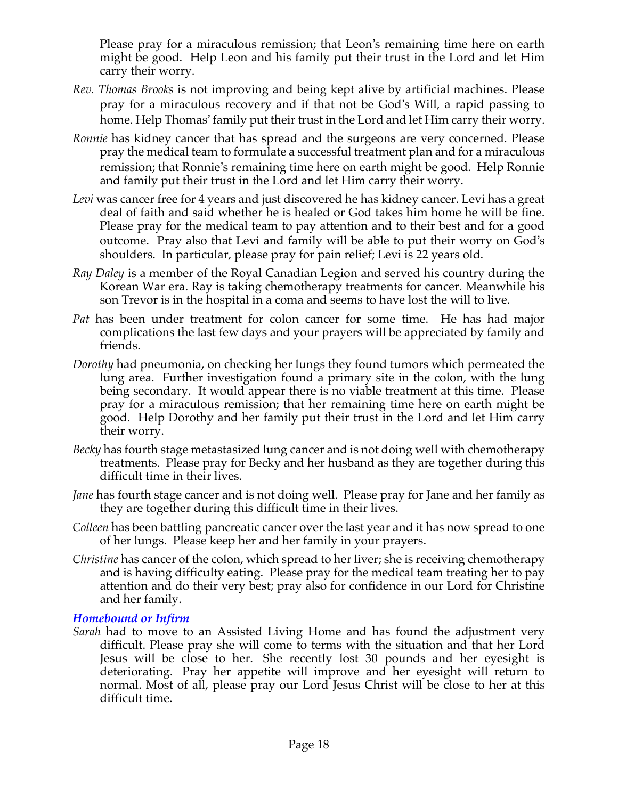Please pray for a miraculous remission; that Leon's remaining time here on earth might be good. Help Leon and his family put their trust in the Lord and let Him carry their worry.

- *Rev. Thomas Brooks* is not improving and being kept alive by artificial machines. Please pray for a miraculous recovery and if that not be God's Will, a rapid passing to home. Help Thomas' family put their trust in the Lord and let Him carry their worry.
- *Ronnie* has kidney cancer that has spread and the surgeons are very concerned. Please pray the medical team to formulate a successful treatment plan and for a miraculous remission; that Ronnie's remaining time here on earth might be good. Help Ronnie and family put their trust in the Lord and let Him carry their worry.
- *Levi* was cancer free for 4 years and just discovered he has kidney cancer. Levi has a great deal of faith and said whether he is healed or God takes him home he will be fine. Please pray for the medical team to pay attention and to their best and for a good outcome. Pray also that Levi and family will be able to put their worry on God's shoulders. In particular, please pray for pain relief; Levi is 22 years old.
- *Ray Daley* is a member of the Royal Canadian Legion and served his country during the Korean War era. Ray is taking chemotherapy treatments for cancer. Meanwhile his son Trevor is in the hospital in a coma and seems to have lost the will to live.
- *Pat* has been under treatment for colon cancer for some time. He has had major complications the last few days and your prayers will be appreciated by family and friends.
- *Dorothy* had pneumonia, on checking her lungs they found tumors which permeated the lung area. Further investigation found a primary site in the colon, with the lung being secondary. It would appear there is no viable treatment at this time. Please pray for a miraculous remission; that her remaining time here on earth might be good. Help Dorothy and her family put their trust in the Lord and let Him carry their worry.
- *Becky* has fourth stage metastasized lung cancer and is not doing well with chemotherapy treatments. Please pray for Becky and her husband as they are together during this difficult time in their lives.
- *Jane* has fourth stage cancer and is not doing well. Please pray for Jane and her family as they are together during this difficult time in their lives.
- *Colleen* has been battling pancreatic cancer over the last year and it has now spread to one of her lungs. Please keep her and her family in your prayers.
- *Christine* has cancer of the colon, which spread to her liver; she is receiving chemotherapy and is having difficulty eating. Please pray for the medical team treating her to pay attention and do their very best; pray also for confidence in our Lord for Christine and her family.

### *Homebound or Infirm*

*Sarah* had to move to an Assisted Living Home and has found the adjustment very difficult. Please pray she will come to terms with the situation and that her Lord Jesus will be close to her. She recently lost 30 pounds and her eyesight is deteriorating. Pray her appetite will improve and her eyesight will return to normal. Most of all, please pray our Lord Jesus Christ will be close to her at this difficult time.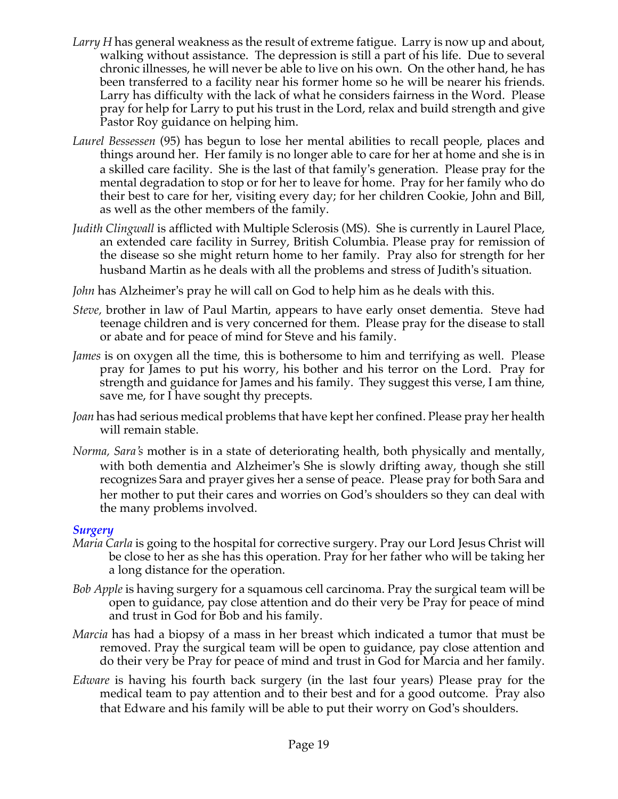- *Larry H* has general weakness as the result of extreme fatigue. Larry is now up and about, walking without assistance. The depression is still a part of his life. Due to several chronic illnesses, he will never be able to live on his own. On the other hand, he has been transferred to a facility near his former home so he will be nearer his friends. Larry has difficulty with the lack of what he considers fairness in the Word. Please pray for help for Larry to put his trust in the Lord, relax and build strength and give Pastor Roy guidance on helping him.
- *Laurel Bessessen* (95) has begun to lose her mental abilities to recall people, places and things around her. Her family is no longer able to care for her at home and she is in a skilled care facility. She is the last of that family's generation. Please pray for the mental degradation to stop or for her to leave for home. Pray for her family who do their best to care for her, visiting every day; for her children Cookie, John and Bill, as well as the other members of the family.
- *Judith Clingwall* is afflicted with Multiple Sclerosis (MS). She is currently in Laurel Place, an extended care facility in Surrey, British Columbia. Please pray for remission of the disease so she might return home to her family. Pray also for strength for her husband Martin as he deals with all the problems and stress of Judith's situation.
- *John* has Alzheimer's pray he will call on God to help him as he deals with this.
- *Steve,* brother in law of Paul Martin, appears to have early onset dementia. Steve had teenage children and is very concerned for them. Please pray for the disease to stall or abate and for peace of mind for Steve and his family.
- *James* is on oxygen all the time, this is bothersome to him and terrifying as well. Please pray for James to put his worry, his bother and his terror on the Lord. Pray for strength and guidance for James and his family. They suggest this verse, I am thine, save me, for I have sought thy precepts.
- *Joan* has had serious medical problems that have kept her confined. Please pray her health will remain stable.
- *Norma, Sara's* mother is in a state of deteriorating health, both physically and mentally, with both dementia and Alzheimer's She is slowly drifting away, though she still recognizes Sara and prayer gives her a sense of peace. Please pray for both Sara and her mother to put their cares and worries on God's shoulders so they can deal with the many problems involved.

### *Surgery*

- *Maria Carla* is going to the hospital for corrective surgery. Pray our Lord Jesus Christ will be close to her as she has this operation. Pray for her father who will be taking her a long distance for the operation.
- *Bob Apple* is having surgery for a squamous cell carcinoma. Pray the surgical team will be open to guidance, pay close attention and do their very be Pray for peace of mind and trust in God for Bob and his family.
- *Marcia* has had a biopsy of a mass in her breast which indicated a tumor that must be removed. Pray the surgical team will be open to guidance, pay close attention and do their very be Pray for peace of mind and trust in God for Marcia and her family.
- *Edware* is having his fourth back surgery (in the last four years) Please pray for the medical team to pay attention and to their best and for a good outcome. Pray also that Edware and his family will be able to put their worry on God's shoulders.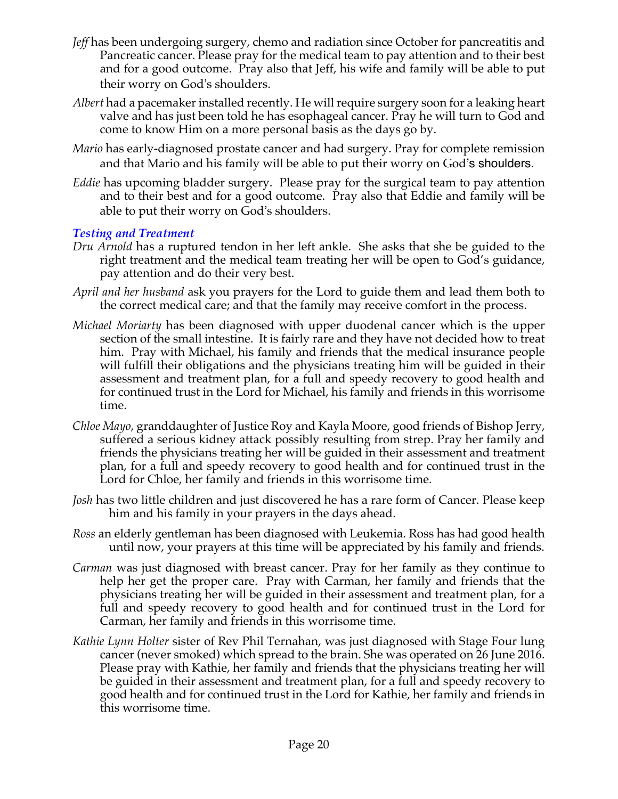- *Jeff* has been undergoing surgery, chemo and radiation since October for pancreatitis and Pancreatic cancer. Please pray for the medical team to pay attention and to their best and for a good outcome. Pray also that Jeff, his wife and family will be able to put their worry on God's shoulders.
- Albert had a pacemaker installed recently. He will require surgery soon for a leaking heart valve and has just been told he has esophageal cancer. Pray he will turn to God and come to know Him on a more personal basis as the days go by.
- *Mario* has early-diagnosed prostate cancer and had surgery. Pray for complete remission and that Mario and his family will be able to put their worry on God's shoulders.
- *Eddie* has upcoming bladder surgery. Please pray for the surgical team to pay attention and to their best and for a good outcome. Pray also that Eddie and family will be able to put their worry on God's shoulders.

## *Testing and Treatment*

- *Dru Arnold* has a ruptured tendon in her left ankle. She asks that she be guided to the right treatment and the medical team treating her will be open to God's guidance, pay attention and do their very best.
- *April and her husband* ask you prayers for the Lord to guide them and lead them both to the correct medical care; and that the family may receive comfort in the process.
- *Michael Moriarty* has been diagnosed with upper duodenal cancer which is the upper section of the small intestine. It is fairly rare and they have not decided how to treat him. Pray with Michael, his family and friends that the medical insurance people will fulfill their obligations and the physicians treating him will be guided in their assessment and treatment plan, for a full and speedy recovery to good health and for continued trust in the Lord for Michael, his family and friends in this worrisome time.
- *Chloe Mayo*, granddaughter of Justice Roy and Kayla Moore, good friends of Bishop Jerry, suffered a serious kidney attack possibly resulting from strep. Pray her family and friends the physicians treating her will be guided in their assessment and treatment plan, for a full and speedy recovery to good health and for continued trust in the Lord for Chloe, her family and friends in this worrisome time.
- *Josh* has two little children and just discovered he has a rare form of Cancer. Please keep him and his family in your prayers in the days ahead.
- *Ross* an elderly gentleman has been diagnosed with Leukemia. Ross has had good health until now, your prayers at this time will be appreciated by his family and friends.
- *Carman* was just diagnosed with breast cancer. Pray for her family as they continue to help her get the proper care. Pray with Carman, her family and friends that the physicians treating her will be guided in their assessment and treatment plan, for a full and speedy recovery to good health and for continued trust in the Lord for Carman, her family and friends in this worrisome time.
- *Kathie Lynn Holter* sister of Rev Phil Ternahan, was just diagnosed with Stage Four lung cancer (never smoked) which spread to the brain. She was operated on 26 June 2016. Please pray with Kathie, her family and friends that the physicians treating her will be guided in their assessment and treatment plan, for a full and speedy recovery to good health and for continued trust in the Lord for Kathie, her family and friends in this worrisome time.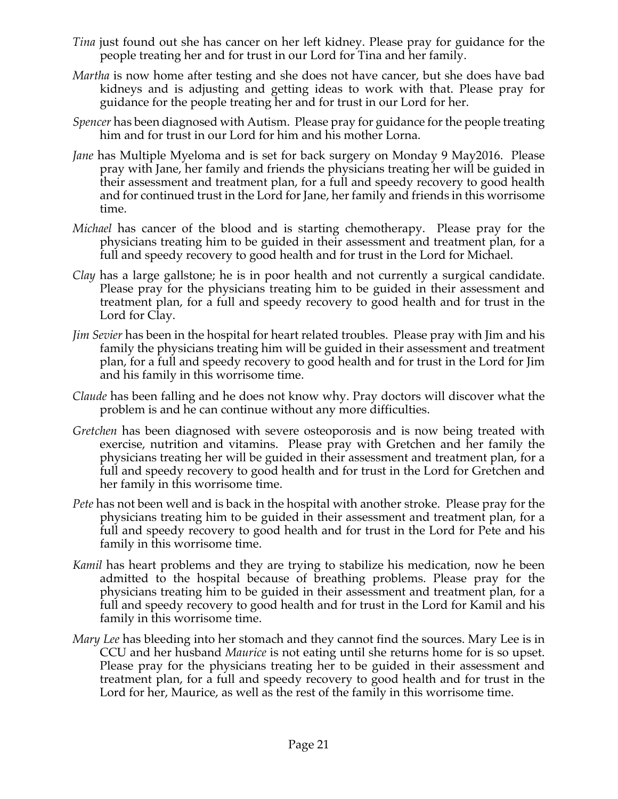- *Tina* just found out she has cancer on her left kidney. Please pray for guidance for the people treating her and for trust in our Lord for Tina and her family.
- *Martha* is now home after testing and she does not have cancer, but she does have bad kidneys and is adjusting and getting ideas to work with that. Please pray for guidance for the people treating her and for trust in our Lord for her.
- *Spencer* has been diagnosed with Autism. Please pray for guidance for the people treating him and for trust in our Lord for him and his mother Lorna.
- *Jane* has Multiple Myeloma and is set for back surgery on Monday 9 May2016. Please pray with Jane, her family and friends the physicians treating her will be guided in their assessment and treatment plan, for a full and speedy recovery to good health and for continued trust in the Lord for Jane, her family and friends in this worrisome time.
- *Michael* has cancer of the blood and is starting chemotherapy. Please pray for the physicians treating him to be guided in their assessment and treatment plan, for a full and speedy recovery to good health and for trust in the Lord for Michael.
- *Clay* has a large gallstone; he is in poor health and not currently a surgical candidate. Please pray for the physicians treating him to be guided in their assessment and treatment plan, for a full and speedy recovery to good health and for trust in the Lord for Clay.
- *Jim Sevier* has been in the hospital for heart related troubles. Please pray with Jim and his family the physicians treating him will be guided in their assessment and treatment plan, for a full and speedy recovery to good health and for trust in the Lord for Jim and his family in this worrisome time.
- *Claude* has been falling and he does not know why. Pray doctors will discover what the problem is and he can continue without any more difficulties.
- *Gretchen* has been diagnosed with severe osteoporosis and is now being treated with exercise, nutrition and vitamins. Please pray with Gretchen and her family the physicians treating her will be guided in their assessment and treatment plan, for a full and speedy recovery to good health and for trust in the Lord for Gretchen and her family in this worrisome time.
- *Pete* has not been well and is back in the hospital with another stroke. Please pray for the physicians treating him to be guided in their assessment and treatment plan, for a full and speedy recovery to good health and for trust in the Lord for Pete and his family in this worrisome time.
- *Kamil* has heart problems and they are trying to stabilize his medication, now he been admitted to the hospital because of breathing problems. Please pray for the physicians treating him to be guided in their assessment and treatment plan, for a full and speedy recovery to good health and for trust in the Lord for Kamil and his family in this worrisome time.
- *Mary Lee* has bleeding into her stomach and they cannot find the sources. Mary Lee is in CCU and her husband *Maurice* is not eating until she returns home for is so upset. Please pray for the physicians treating her to be guided in their assessment and treatment plan, for a full and speedy recovery to good health and for trust in the Lord for her, Maurice, as well as the rest of the family in this worrisome time.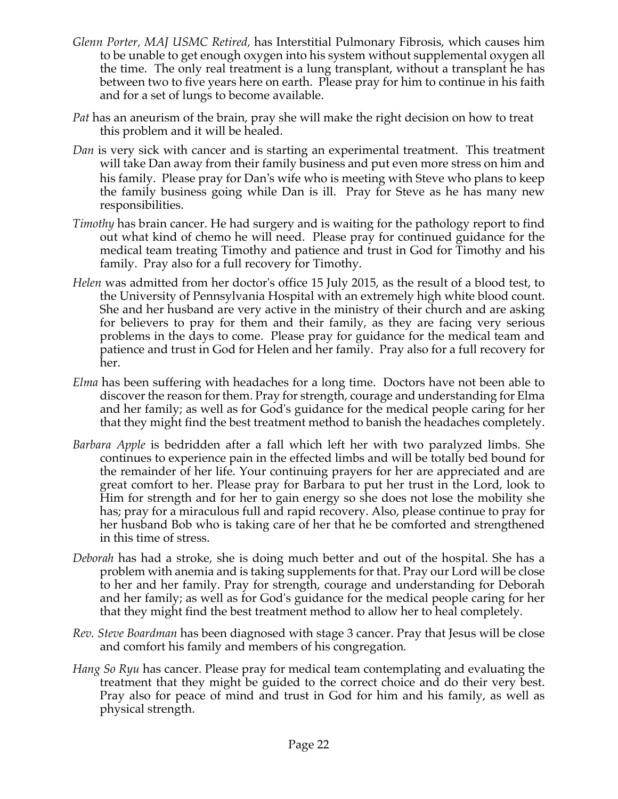- *Glenn Porter, MAJ USMC Retired,* has Interstitial Pulmonary Fibrosis, which causes him to be unable to get enough oxygen into his system without supplemental oxygen all the time. The only real treatment is a lung transplant, without a transplant he has between two to five years here on earth. Please pray for him to continue in his faith and for a set of lungs to become available.
- *Pat* has an aneurism of the brain, pray she will make the right decision on how to treat this problem and it will be healed.
- *Dan* is very sick with cancer and is starting an experimental treatment. This treatment will take Dan away from their family business and put even more stress on him and his family. Please pray for Dan's wife who is meeting with Steve who plans to keep the family business going while Dan is ill. Pray for Steve as he has many new responsibilities.
- *Timothy* has brain cancer. He had surgery and is waiting for the pathology report to find out what kind of chemo he will need. Please pray for continued guidance for the medical team treating Timothy and patience and trust in God for Timothy and his family. Pray also for a full recovery for Timothy.
- *Helen* was admitted from her doctor's office 15 July 2015, as the result of a blood test, to the University of Pennsylvania Hospital with an extremely high white blood count. She and her husband are very active in the ministry of their church and are asking for believers to pray for them and their family, as they are facing very serious problems in the days to come. Please pray for guidance for the medical team and patience and trust in God for Helen and her family. Pray also for a full recovery for her.
- *Elma* has been suffering with headaches for a long time. Doctors have not been able to discover the reason for them. Pray for strength, courage and understanding for Elma and her family; as well as for God's guidance for the medical people caring for her that they might find the best treatment method to banish the headaches completely.
- *Barbara Apple* is bedridden after a fall which left her with two paralyzed limbs. She continues to experience pain in the effected limbs and will be totally bed bound for the remainder of her life. Your continuing prayers for her are appreciated and are great comfort to her. Please pray for Barbara to put her trust in the Lord, look to Him for strength and for her to gain energy so she does not lose the mobility she has; pray for a miraculous full and rapid recovery. Also, please continue to pray for her husband Bob who is taking care of her that he be comforted and strengthened in this time of stress.
- *Deborah* has had a stroke, she is doing much better and out of the hospital. She has a problem with anemia and is taking supplements for that. Pray our Lord will be close to her and her family. Pray for strength, courage and understanding for Deborah and her family; as well as for God's guidance for the medical people caring for her that they might find the best treatment method to allow her to heal completely.
- *Rev. Steve Boardman* has been diagnosed with stage 3 cancer. Pray that Jesus will be close and comfort his family and members of his congregation*.*
- *Hang So Ryu* has cancer. Please pray for medical team contemplating and evaluating the treatment that they might be guided to the correct choice and do their very best. Pray also for peace of mind and trust in God for him and his family, as well as physical strength.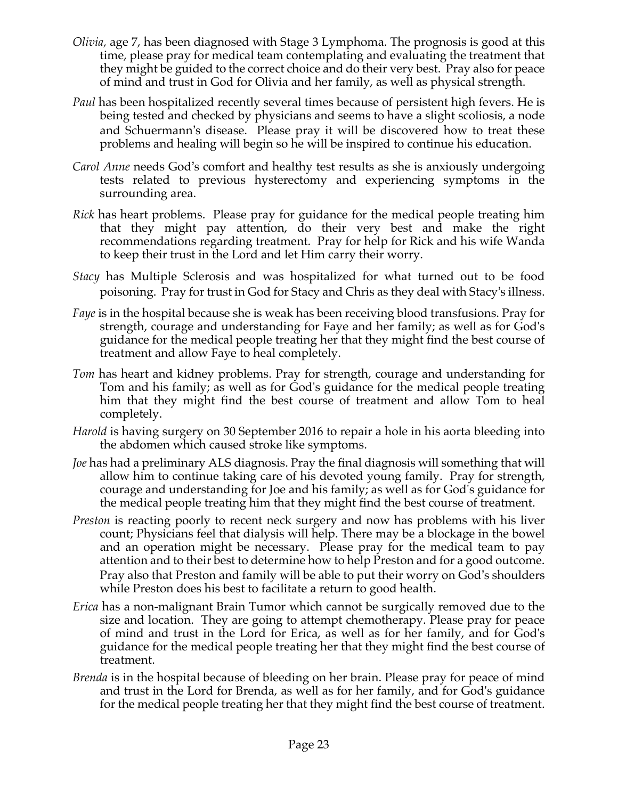- *Olivia,* age 7, has been diagnosed with Stage 3 Lymphoma. The prognosis is good at this time, please pray for medical team contemplating and evaluating the treatment that they might be guided to the correct choice and do their very best. Pray also for peace of mind and trust in God for Olivia and her family, as well as physical strength.
- *Paul* has been hospitalized recently several times because of persistent high fevers. He is being tested and checked by physicians and seems to have a slight scoliosis, a node and Schuermann's disease. Please pray it will be discovered how to treat these problems and healing will begin so he will be inspired to continue his education.
- *Carol Anne* needs God's comfort and healthy test results as she is anxiously undergoing tests related to previous hysterectomy and experiencing symptoms in the surrounding area.
- *Rick* has heart problems. Please pray for guidance for the medical people treating him that they might pay attention, do their very best and make the right recommendations regarding treatment. Pray for help for Rick and his wife Wanda to keep their trust in the Lord and let Him carry their worry.
- *Stacy* has Multiple Sclerosis and was hospitalized for what turned out to be food poisoning. Pray for trust in God for Stacy and Chris as they deal with Stacy's illness.
- *Faye* is in the hospital because she is weak has been receiving blood transfusions. Pray for strength, courage and understanding for Faye and her family; as well as for God's guidance for the medical people treating her that they might find the best course of treatment and allow Faye to heal completely.
- *Tom* has heart and kidney problems. Pray for strength, courage and understanding for Tom and his family; as well as for God's guidance for the medical people treating him that they might find the best course of treatment and allow Tom to heal completely.
- *Harold* is having surgery on 30 September 2016 to repair a hole in his aorta bleeding into the abdomen which caused stroke like symptoms.
- *Joe* has had a preliminary ALS diagnosis. Pray the final diagnosis will something that will allow him to continue taking care of his devoted young family. Pray for strength, courage and understanding for Joe and his family; as well as for God's guidance for the medical people treating him that they might find the best course of treatment.
- *Preston* is reacting poorly to recent neck surgery and now has problems with his liver count; Physicians feel that dialysis will help. There may be a blockage in the bowel and an operation might be necessary. Please pray for the medical team to pay attention and to their best to determine how to help Preston and for a good outcome. Pray also that Preston and family will be able to put their worry on God's shoulders while Preston does his best to facilitate a return to good health.
- *Erica* has a non-malignant Brain Tumor which cannot be surgically removed due to the size and location. They are going to attempt chemotherapy. Please pray for peace of mind and trust in the Lord for Erica, as well as for her family, and for God's guidance for the medical people treating her that they might find the best course of treatment.
- *Brenda* is in the hospital because of bleeding on her brain. Please pray for peace of mind and trust in the Lord for Brenda, as well as for her family, and for God's guidance for the medical people treating her that they might find the best course of treatment.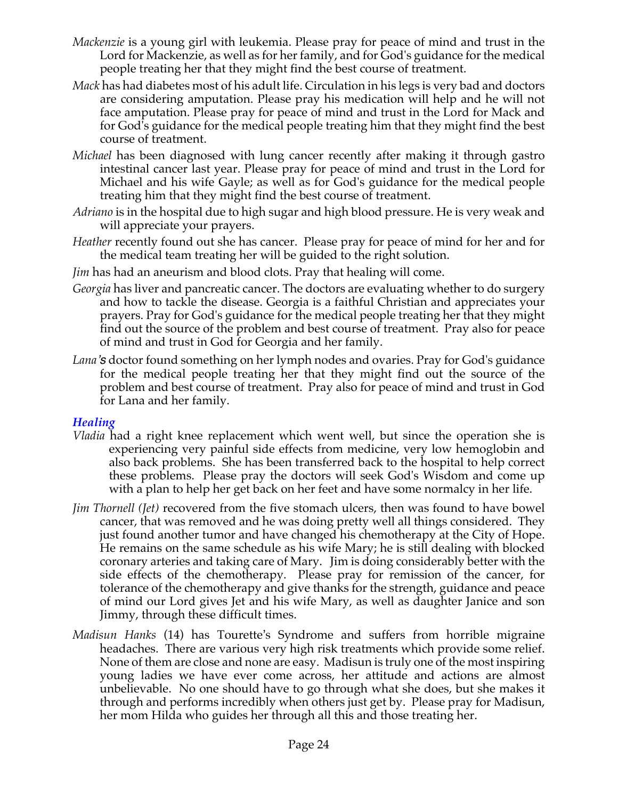- *Mackenzie* is a young girl with leukemia. Please pray for peace of mind and trust in the Lord for Mackenzie, as well as for her family, and for God's guidance for the medical people treating her that they might find the best course of treatment.
- *Mack* has had diabetes most of his adult life. Circulation in his legs is very bad and doctors are considering amputation. Please pray his medication will help and he will not face amputation. Please pray for peace of mind and trust in the Lord for Mack and for God's guidance for the medical people treating him that they might find the best course of treatment.
- *Michael* has been diagnosed with lung cancer recently after making it through gastro intestinal cancer last year. Please pray for peace of mind and trust in the Lord for Michael and his wife Gayle; as well as for God's guidance for the medical people treating him that they might find the best course of treatment.
- *Adriano* is in the hospital due to high sugar and high blood pressure. He is very weak and will appreciate your prayers.
- *Heather* recently found out she has cancer. Please pray for peace of mind for her and for the medical team treating her will be guided to the right solution.
- *Jim* has had an aneurism and blood clots. Pray that healing will come.
- *Georgia* has liver and pancreatic cancer. The doctors are evaluating whether to do surgery and how to tackle the disease. Georgia is a faithful Christian and appreciates your prayers. Pray for God's guidance for the medical people treating her that they might find out the source of the problem and best course of treatment. Pray also for peace of mind and trust in God for Georgia and her family.
- *Lana's* doctor found something on her lymph nodes and ovaries. Pray for God's guidance for the medical people treating her that they might find out the source of the problem and best course of treatment. Pray also for peace of mind and trust in God for Lana and her family.

### *Healing*

- *Vladia* had a right knee replacement which went well, but since the operation she is experiencing very painful side effects from medicine, very low hemoglobin and also back problems. She has been transferred back to the hospital to help correct these problems. Please pray the doctors will seek God's Wisdom and come up with a plan to help her get back on her feet and have some normalcy in her life.
- *Jim Thornell (Jet)* recovered from the five stomach ulcers, then was found to have bowel cancer, that was removed and he was doing pretty well all things considered. They just found another tumor and have changed his chemotherapy at the City of Hope. He remains on the same schedule as his wife Mary; he is still dealing with blocked coronary arteries and taking care of Mary. Jim is doing considerably better with the side effects of the chemotherapy. Please pray for remission of the cancer, for tolerance of the chemotherapy and give thanks for the strength, guidance and peace of mind our Lord gives Jet and his wife Mary, as well as daughter Janice and son Jimmy, through these difficult times.
- *Madisun Hanks* (14) has Tourette's Syndrome and suffers from horrible migraine headaches. There are various very high risk treatments which provide some relief. None of them are close and none are easy. Madisun is truly one of the most inspiring young ladies we have ever come across, her attitude and actions are almost unbelievable. No one should have to go through what she does, but she makes it through and performs incredibly when others just get by. Please pray for Madisun, her mom Hilda who guides her through all this and those treating her.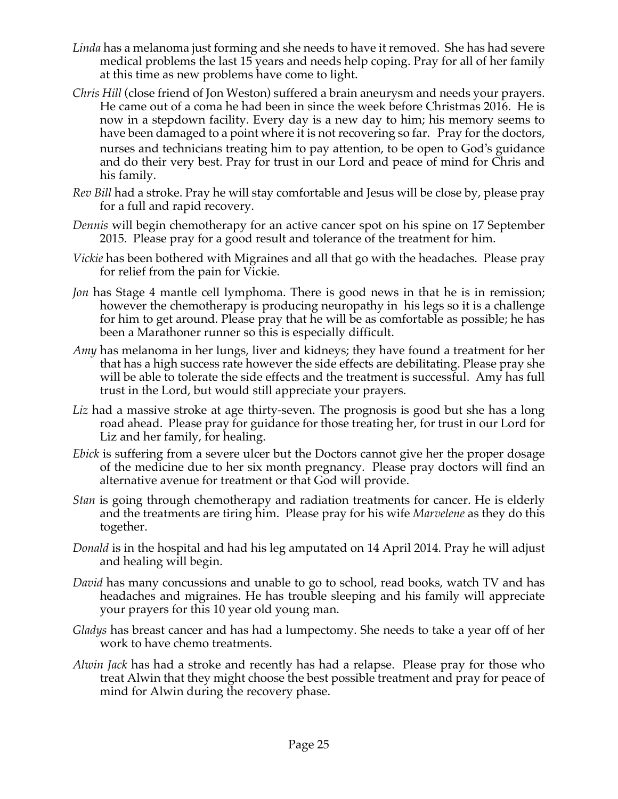- *Linda* has a melanoma just forming and she needs to have it removed. She has had severe medical problems the last 15 years and needs help coping. Pray for all of her family at this time as new problems have come to light.
- *Chris Hill* (close friend of Jon Weston) suffered a brain aneurysm and needs your prayers. He came out of a coma he had been in since the week before Christmas 2016. He is now in a stepdown facility. Every day is a new day to him; his memory seems to have been damaged to a point where it is not recovering so far. Pray for the doctors, nurses and technicians treating him to pay attention, to be open to God's guidance and do their very best. Pray for trust in our Lord and peace of mind for Chris and his family.
- *Rev Bill* had a stroke. Pray he will stay comfortable and Jesus will be close by, please pray for a full and rapid recovery.
- *Dennis* will begin chemotherapy for an active cancer spot on his spine on 17 September 2015. Please pray for a good result and tolerance of the treatment for him.
- *Vickie* has been bothered with Migraines and all that go with the headaches. Please pray for relief from the pain for Vickie.
- *Jon* has Stage 4 mantle cell lymphoma. There is good news in that he is in remission; however the chemotherapy is producing neuropathy in his legs so it is a challenge for him to get around. Please pray that he will be as comfortable as possible; he has been a Marathoner runner so this is especially difficult.
- *Amy* has melanoma in her lungs, liver and kidneys; they have found a treatment for her that has a high success rate however the side effects are debilitating. Please pray she will be able to tolerate the side effects and the treatment is successful. Amy has full trust in the Lord, but would still appreciate your prayers.
- *Liz* had a massive stroke at age thirty-seven. The prognosis is good but she has a long road ahead. Please pray for guidance for those treating her, for trust in our Lord for Liz and her family, for healing.
- *Ebick* is suffering from a severe ulcer but the Doctors cannot give her the proper dosage of the medicine due to her six month pregnancy. Please pray doctors will find an alternative avenue for treatment or that God will provide.
- *Stan* is going through chemotherapy and radiation treatments for cancer. He is elderly and the treatments are tiring him. Please pray for his wife *Marvelene* as they do this together.
- *Donald* is in the hospital and had his leg amputated on 14 April 2014. Pray he will adjust and healing will begin.
- *David* has many concussions and unable to go to school, read books, watch TV and has headaches and migraines. He has trouble sleeping and his family will appreciate your prayers for this 10 year old young man.
- *Gladys* has breast cancer and has had a lumpectomy. She needs to take a year off of her work to have chemo treatments.
- *Alwin Jack* has had a stroke and recently has had a relapse. Please pray for those who treat Alwin that they might choose the best possible treatment and pray for peace of mind for Alwin during the recovery phase.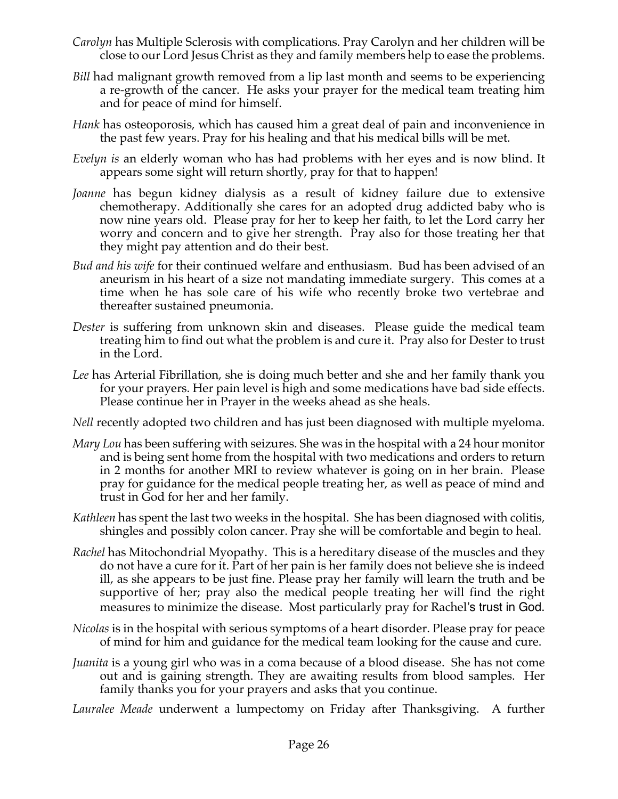- *Carolyn* has Multiple Sclerosis with complications. Pray Carolyn and her children will be close to our Lord Jesus Christ as they and family members help to ease the problems.
- *Bill* had malignant growth removed from a lip last month and seems to be experiencing a re-growth of the cancer. He asks your prayer for the medical team treating him and for peace of mind for himself.
- *Hank* has osteoporosis, which has caused him a great deal of pain and inconvenience in the past few years. Pray for his healing and that his medical bills will be met.
- *Evelyn is* an elderly woman who has had problems with her eyes and is now blind. It appears some sight will return shortly, pray for that to happen!
- *Joanne* has begun kidney dialysis as a result of kidney failure due to extensive chemotherapy. Additionally she cares for an adopted drug addicted baby who is now nine years old. Please pray for her to keep her faith, to let the Lord carry her worry and concern and to give her strength. Pray also for those treating her that they might pay attention and do their best.
- *Bud and his wife* for their continued welfare and enthusiasm. Bud has been advised of an aneurism in his heart of a size not mandating immediate surgery. This comes at a time when he has sole care of his wife who recently broke two vertebrae and thereafter sustained pneumonia.
- *Dester* is suffering from unknown skin and diseases. Please guide the medical team treating him to find out what the problem is and cure it. Pray also for Dester to trust in the Lord.
- *Lee* has Arterial Fibrillation, she is doing much better and she and her family thank you for your prayers. Her pain level is high and some medications have bad side effects. Please continue her in Prayer in the weeks ahead as she heals.
- *Nell* recently adopted two children and has just been diagnosed with multiple myeloma.
- *Mary Lou* has been suffering with seizures. She was in the hospital with a 24 hour monitor and is being sent home from the hospital with two medications and orders to return in 2 months for another MRI to review whatever is going on in her brain. Please pray for guidance for the medical people treating her, as well as peace of mind and trust in God for her and her family.
- *Kathleen* has spent the last two weeks in the hospital. She has been diagnosed with colitis, shingles and possibly colon cancer. Pray she will be comfortable and begin to heal.
- *Rachel* has Mitochondrial Myopathy. This is a hereditary disease of the muscles and they do not have a cure for it. Part of her pain is her family does not believe she is indeed ill, as she appears to be just fine. Please pray her family will learn the truth and be supportive of her; pray also the medical people treating her will find the right measures to minimize the disease. Most particularly pray for Rachel's trust in God.
- *Nicolas* is in the hospital with serious symptoms of a heart disorder. Please pray for peace of mind for him and guidance for the medical team looking for the cause and cure.
- *Juanita* is a young girl who was in a coma because of a blood disease. She has not come out and is gaining strength. They are awaiting results from blood samples. Her family thanks you for your prayers and asks that you continue.
- *Lauralee Meade* underwent a lumpectomy on Friday after Thanksgiving. A further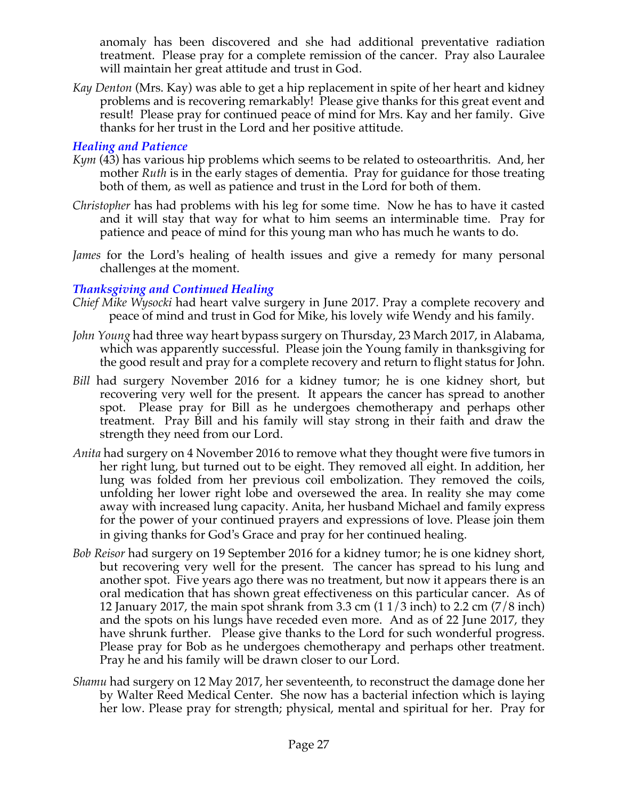anomaly has been discovered and she had additional preventative radiation treatment. Please pray for a complete remission of the cancer. Pray also Lauralee will maintain her great attitude and trust in God.

*Kay Denton* (Mrs. Kay) was able to get a hip replacement in spite of her heart and kidney problems and is recovering remarkably! Please give thanks for this great event and result! Please pray for continued peace of mind for Mrs. Kay and her family. Give thanks for her trust in the Lord and her positive attitude.

## *Healing and Patience*

- *Kym* (43) has various hip problems which seems to be related to osteoarthritis. And, her mother *Ruth* is in the early stages of dementia. Pray for guidance for those treating both of them, as well as patience and trust in the Lord for both of them.
- *Christopher* has had problems with his leg for some time. Now he has to have it casted and it will stay that way for what to him seems an interminable time. Pray for patience and peace of mind for this young man who has much he wants to do.
- *James* for the Lord's healing of health issues and give a remedy for many personal challenges at the moment.

## *Thanksgiving and Continued Healing*

- *Chief Mike Wysocki* had heart valve surgery in June 2017. Pray a complete recovery and peace of mind and trust in God for Mike, his lovely wife Wendy and his family.
- *John Young* had three way heart bypass surgery on Thursday, 23 March 2017, in Alabama, which was apparently successful. Please join the Young family in thanksgiving for the good result and pray for a complete recovery and return to flight status for John.
- *Bill* had surgery November 2016 for a kidney tumor; he is one kidney short, but recovering very well for the present. It appears the cancer has spread to another spot. Please pray for Bill as he undergoes chemotherapy and perhaps other treatment. Pray Bill and his family will stay strong in their faith and draw the strength they need from our Lord.
- *Anita* had surgery on 4 November 2016 to remove what they thought were five tumors in her right lung, but turned out to be eight. They removed all eight. In addition, her lung was folded from her previous coil embolization. They removed the coils, unfolding her lower right lobe and oversewed the area. In reality she may come away with increased lung capacity. Anita, her husband Michael and family express for the power of your continued prayers and expressions of love. Please join them in giving thanks for God's Grace and pray for her continued healing.
- *Bob Reisor* had surgery on 19 September 2016 for a kidney tumor; he is one kidney short, but recovering very well for the present. The cancer has spread to his lung and another spot. Five years ago there was no treatment, but now it appears there is an oral medication that has shown great effectiveness on this particular cancer. As of 12 January 2017, the main spot shrank from 3.3 cm (1 1/3 inch) to 2.2 cm (7/8 inch) and the spots on his lungs have receded even more. And as of 22 June 2017, they have shrunk further. Please give thanks to the Lord for such wonderful progress. Please pray for Bob as he undergoes chemotherapy and perhaps other treatment. Pray he and his family will be drawn closer to our Lord.
- *Shamu* had surgery on 12 May 2017, her seventeenth, to reconstruct the damage done her by Walter Reed Medical Center. She now has a bacterial infection which is laying her low. Please pray for strength; physical, mental and spiritual for her. Pray for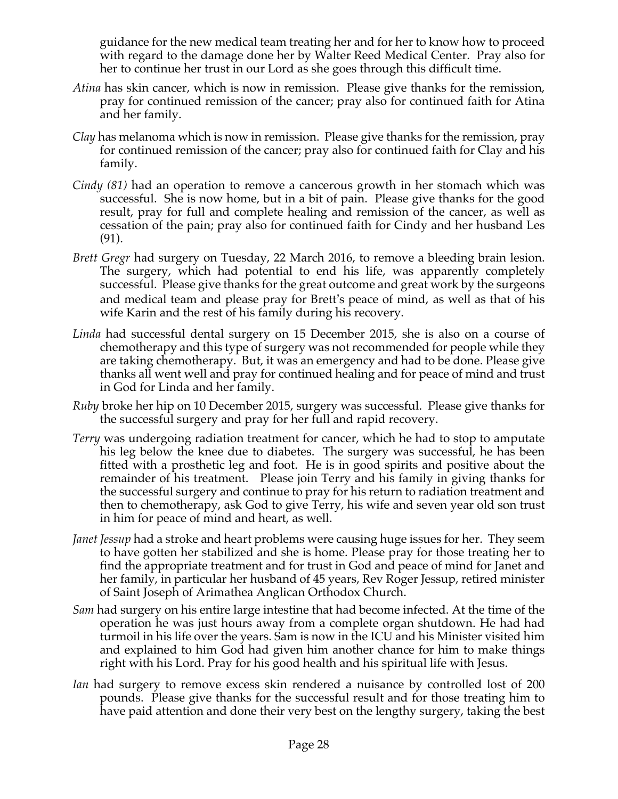guidance for the new medical team treating her and for her to know how to proceed with regard to the damage done her by Walter Reed Medical Center. Pray also for her to continue her trust in our Lord as she goes through this difficult time.

- *Atina* has skin cancer, which is now in remission. Please give thanks for the remission, pray for continued remission of the cancer; pray also for continued faith for Atina and her family.
- *Clay* has melanoma which is now in remission. Please give thanks for the remission, pray for continued remission of the cancer; pray also for continued faith for Clay and his family.
- *Cindy (81)* had an operation to remove a cancerous growth in her stomach which was successful. She is now home, but in a bit of pain. Please give thanks for the good result, pray for full and complete healing and remission of the cancer, as well as cessation of the pain; pray also for continued faith for Cindy and her husband Les (91).
- *Brett Gregr* had surgery on Tuesday, 22 March 2016, to remove a bleeding brain lesion. The surgery, which had potential to end his life, was apparently completely successful. Please give thanks for the great outcome and great work by the surgeons and medical team and please pray for Brett's peace of mind, as well as that of his wife Karin and the rest of his family during his recovery.
- *Linda* had successful dental surgery on 15 December 2015, she is also on a course of chemotherapy and this type of surgery was not recommended for people while they are taking chemotherapy. But, it was an emergency and had to be done. Please give thanks all went well and pray for continued healing and for peace of mind and trust in God for Linda and her family.
- *Ruby* broke her hip on 10 December 2015, surgery was successful. Please give thanks for the successful surgery and pray for her full and rapid recovery.
- *Terry* was undergoing radiation treatment for cancer, which he had to stop to amputate his leg below the knee due to diabetes. The surgery was successful, he has been fitted with a prosthetic leg and foot. He is in good spirits and positive about the remainder of his treatment. Please join Terry and his family in giving thanks for the successful surgery and continue to pray for his return to radiation treatment and then to chemotherapy, ask God to give Terry, his wife and seven year old son trust in him for peace of mind and heart, as well.
- *Janet Jessup* had a stroke and heart problems were causing huge issues for her. They seem to have gotten her stabilized and she is home. Please pray for those treating her to find the appropriate treatment and for trust in God and peace of mind for Janet and her family, in particular her husband of 45 years, Rev Roger Jessup, retired minister of Saint Joseph of Arimathea Anglican Orthodox Church.
- *Sam* had surgery on his entire large intestine that had become infected. At the time of the operation he was just hours away from a complete organ shutdown. He had had turmoil in his life over the years. Sam is now in the ICU and his Minister visited him and explained to him God had given him another chance for him to make things right with his Lord. Pray for his good health and his spiritual life with Jesus.
- *Ian* had surgery to remove excess skin rendered a nuisance by controlled lost of 200 pounds. Please give thanks for the successful result and for those treating him to have paid attention and done their very best on the lengthy surgery, taking the best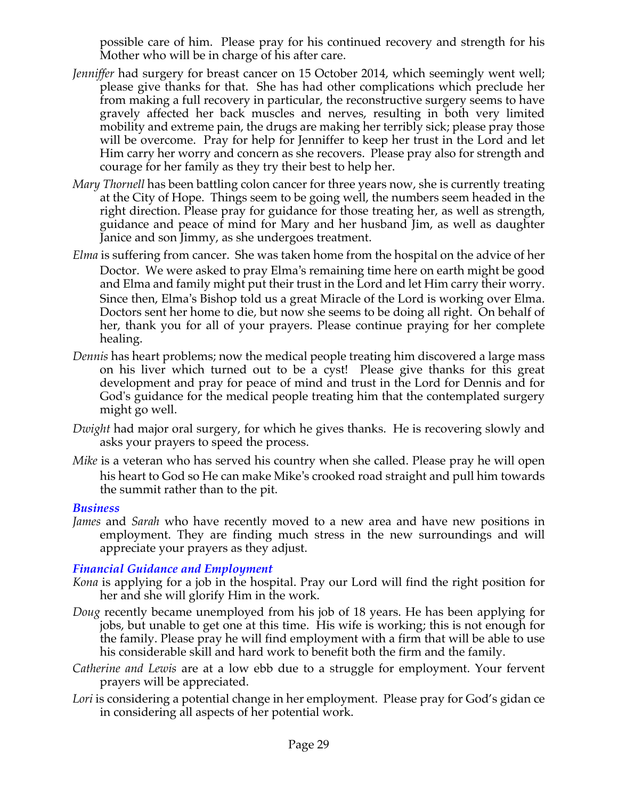possible care of him. Please pray for his continued recovery and strength for his Mother who will be in charge of his after care.

- *Jenniffer* had surgery for breast cancer on 15 October 2014, which seemingly went well; please give thanks for that. She has had other complications which preclude her from making a full recovery in particular, the reconstructive surgery seems to have gravely affected her back muscles and nerves, resulting in both very limited mobility and extreme pain, the drugs are making her terribly sick; please pray those will be overcome. Pray for help for Jenniffer to keep her trust in the Lord and let Him carry her worry and concern as she recovers. Please pray also for strength and courage for her family as they try their best to help her.
- *Mary Thornell* has been battling colon cancer for three years now, she is currently treating at the City of Hope. Things seem to be going well, the numbers seem headed in the right direction. Please pray for guidance for those treating her, as well as strength, guidance and peace of mind for Mary and her husband Jim, as well as daughter Janice and son Jimmy, as she undergoes treatment.
- *Elma* is suffering from cancer. She was taken home from the hospital on the advice of her Doctor. We were asked to pray Elma's remaining time here on earth might be good and Elma and family might put their trust in the Lord and let Him carry their worry. Since then, Elma's Bishop told us a great Miracle of the Lord is working over Elma. Doctors sent her home to die, but now she seems to be doing all right. On behalf of her, thank you for all of your prayers. Please continue praying for her complete healing.
- *Dennis* has heart problems; now the medical people treating him discovered a large mass on his liver which turned out to be a cyst! Please give thanks for this great development and pray for peace of mind and trust in the Lord for Dennis and for God's guidance for the medical people treating him that the contemplated surgery might go well.
- *Dwight* had major oral surgery, for which he gives thanks. He is recovering slowly and asks your prayers to speed the process.
- *Mike* is a veteran who has served his country when she called. Please pray he will open his heart to God so He can make Mike's crooked road straight and pull him towards the summit rather than to the pit.

### *Business*

*James* and *Sarah* who have recently moved to a new area and have new positions in employment. They are finding much stress in the new surroundings and will appreciate your prayers as they adjust.

### *Financial Guidance and Employment*

- *Kona* is applying for a job in the hospital. Pray our Lord will find the right position for her and she will glorify Him in the work.
- *Doug* recently became unemployed from his job of 18 years. He has been applying for jobs, but unable to get one at this time. His wife is working; this is not enough for the family. Please pray he will find employment with a firm that will be able to use his considerable skill and hard work to benefit both the firm and the family.
- *Catherine and Lewis* are at a low ebb due to a struggle for employment. Your fervent prayers will be appreciated.
- *Lori* is considering a potential change in her employment. Please pray for God's gidan ce in considering all aspects of her potential work.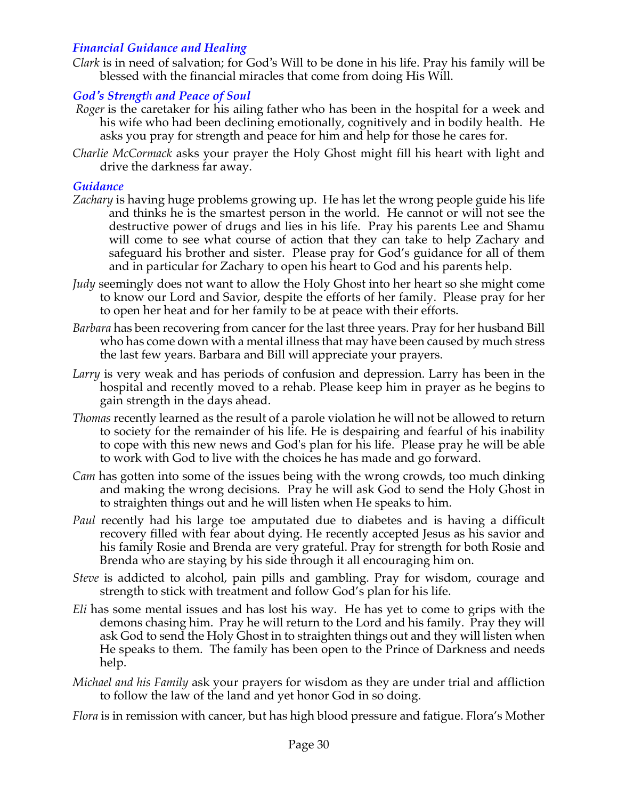## *Financial Guidance and Healing*

*Clark* is in need of salvation; for God's Will to be done in his life. Pray his family will be blessed with the financial miracles that come from doing His Will.

## *God's Strength and Peace of Soul*

- *Roger* is the caretaker for his ailing father who has been in the hospital for a week and his wife who had been declining emotionally, cognitively and in bodily health. He asks you pray for strength and peace for him and help for those he cares for.
- *Charlie McCormack* asks your prayer the Holy Ghost might fill his heart with light and drive the darkness far away.

### *Guidance*

- *Zachary* is having huge problems growing up. He has let the wrong people guide his life and thinks he is the smartest person in the world. He cannot or will not see the destructive power of drugs and lies in his life. Pray his parents Lee and Shamu will come to see what course of action that they can take to help Zachary and safeguard his brother and sister. Please pray for God's guidance for all of them and in particular for Zachary to open his heart to God and his parents help.
- *Judy* seemingly does not want to allow the Holy Ghost into her heart so she might come to know our Lord and Savior, despite the efforts of her family. Please pray for her to open her heat and for her family to be at peace with their efforts.
- *Barbara* has been recovering from cancer for the last three years. Pray for her husband Bill who has come down with a mental illness that may have been caused by much stress the last few years. Barbara and Bill will appreciate your prayers.
- *Larry* is very weak and has periods of confusion and depression. Larry has been in the hospital and recently moved to a rehab. Please keep him in prayer as he begins to gain strength in the days ahead.
- *Thomas* recently learned as the result of a parole violation he will not be allowed to return to society for the remainder of his life. He is despairing and fearful of his inability to cope with this new news and God's plan for his life. Please pray he will be able to work with God to live with the choices he has made and go forward.
- *Cam* has gotten into some of the issues being with the wrong crowds, too much dinking and making the wrong decisions. Pray he will ask God to send the Holy Ghost in to straighten things out and he will listen when He speaks to him.
- *Paul* recently had his large toe amputated due to diabetes and is having a difficult recovery filled with fear about dying. He recently accepted Jesus as his savior and his family Rosie and Brenda are very grateful. Pray for strength for both Rosie and Brenda who are staying by his side through it all encouraging him on.
- *Steve* is addicted to alcohol, pain pills and gambling. Pray for wisdom, courage and strength to stick with treatment and follow God's plan for his life.
- *Eli* has some mental issues and has lost his way. He has yet to come to grips with the demons chasing him. Pray he will return to the Lord and his family. Pray they will ask God to send the Holy Ghost in to straighten things out and they will listen when He speaks to them. The family has been open to the Prince of Darkness and needs help.
- *Michael and his Family* ask your prayers for wisdom as they are under trial and affliction to follow the law of the land and yet honor God in so doing.

*Flora* is in remission with cancer, but has high blood pressure and fatigue. Flora's Mother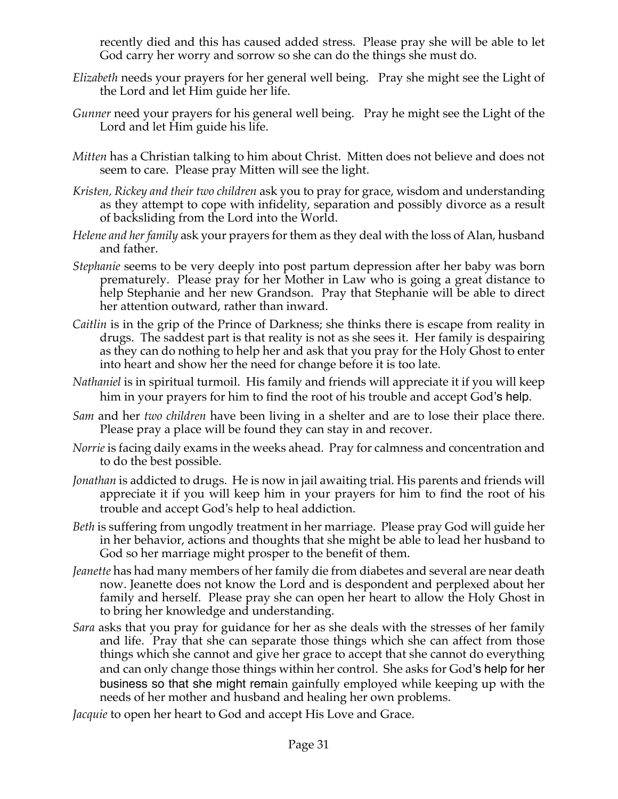recently died and this has caused added stress. Please pray she will be able to let God carry her worry and sorrow so she can do the things she must do.

- *Elizabeth* needs your prayers for her general well being. Pray she might see the Light of the Lord and let Him guide her life.
- *Gunner* need your prayers for his general well being. Pray he might see the Light of the Lord and let Him guide his life.
- *Mitten* has a Christian talking to him about Christ. Mitten does not believe and does not seem to care. Please pray Mitten will see the light.
- *Kristen, Rickey and their two children* ask you to pray for grace, wisdom and understanding as they attempt to cope with infidelity, separation and possibly divorce as a result of backsliding from the Lord into the World.
- *Helene and her family* ask your prayers for them as they deal with the loss of Alan, husband and father.
- *Stephanie* seems to be very deeply into post partum depression after her baby was born prematurely. Please pray for her Mother in Law who is going a great distance to help Stephanie and her new Grandson. Pray that Stephanie will be able to direct her attention outward, rather than inward.
- *Caitlin* is in the grip of the Prince of Darkness; she thinks there is escape from reality in drugs. The saddest part is that reality is not as she sees it. Her family is despairing as they can do nothing to help her and ask that you pray for the Holy Ghost to enter into heart and show her the need for change before it is too late.
- *Nathaniel* is in spiritual turmoil. His family and friends will appreciate it if you will keep him in your prayers for him to find the root of his trouble and accept God's help.
- *Sam* and her *two children* have been living in a shelter and are to lose their place there. Please pray a place will be found they can stay in and recover.
- *Norrie* is facing daily exams in the weeks ahead. Pray for calmness and concentration and to do the best possible.
- *Jonathan* is addicted to drugs. He is now in jail awaiting trial. His parents and friends will appreciate it if you will keep him in your prayers for him to find the root of his trouble and accept God's help to heal addiction.
- *Beth* is suffering from ungodly treatment in her marriage. Please pray God will guide her in her behavior, actions and thoughts that she might be able to lead her husband to God so her marriage might prosper to the benefit of them.
- *Jeanette* has had many members of her family die from diabetes and several are near death now. Jeanette does not know the Lord and is despondent and perplexed about her family and herself. Please pray she can open her heart to allow the Holy Ghost in to bring her knowledge and understanding.
- *Sara* asks that you pray for guidance for her as she deals with the stresses of her family and life. Pray that she can separate those things which she can affect from those things which she cannot and give her grace to accept that she cannot do everything and can only change those things within her control. She asks for God's help for her business so that she might remain gainfully employed while keeping up with the needs of her mother and husband and healing her own problems.
- *Jacquie* to open her heart to God and accept His Love and Grace.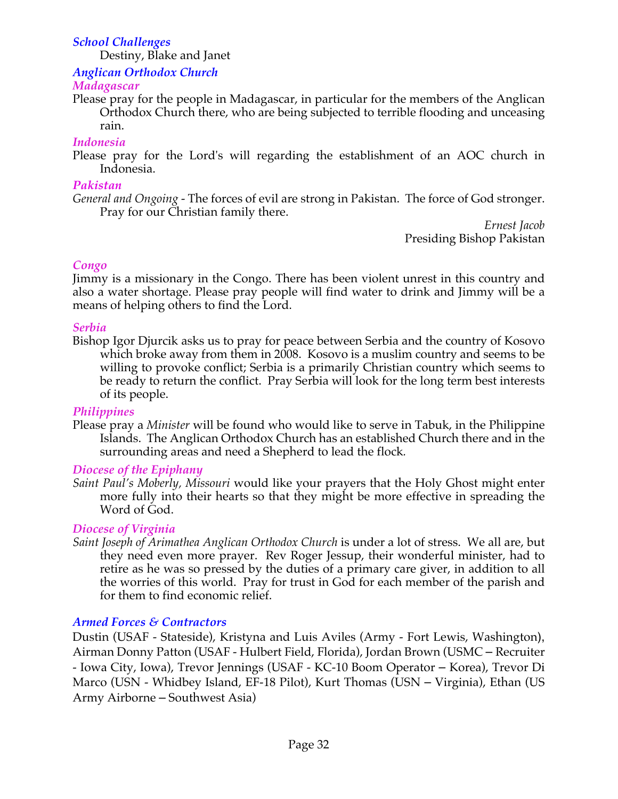## *School Challenges*

Destiny, Blake and Janet

*Anglican Orthodox Church*

#### *Madagascar*

Please pray for the people in Madagascar, in particular for the members of the Anglican Orthodox Church there, who are being subjected to terrible flooding and unceasing rain.

### *Indonesia*

Please pray for the Lord's will regarding the establishment of an AOC church in Indonesia.

### *Pakistan*

*General and Ongoing -* The forces of evil are strong in Pakistan. The force of God stronger. Pray for our Christian family there.

*Ernest Jacob* Presiding Bishop Pakistan

### *Congo*

Jimmy is a missionary in the Congo. There has been violent unrest in this country and also a water shortage. Please pray people will find water to drink and Jimmy will be a means of helping others to find the Lord.

### *Serbia*

Bishop Igor Djurcik asks us to pray for peace between Serbia and the country of Kosovo which broke away from them in 2008. Kosovo is a muslim country and seems to be willing to provoke conflict; Serbia is a primarily Christian country which seems to be ready to return the conflict. Pray Serbia will look for the long term best interests of its people.

### *Philippines*

Please pray a *Minister* will be found who would like to serve in Tabuk, in the Philippine Islands. The Anglican Orthodox Church has an established Church there and in the surrounding areas and need a Shepherd to lead the flock*.*

### *Diocese of the Epiphany*

*Saint Paul's Moberly, Missouri* would like your prayers that the Holy Ghost might enter more fully into their hearts so that they might be more effective in spreading the Word of God.

## *Diocese of Virginia*

*Saint Joseph of Arimathea Anglican Orthodox Church* is under a lot of stress. We all are, but they need even more prayer. Rev Roger Jessup, their wonderful minister, had to retire as he was so pressed by the duties of a primary care giver, in addition to all the worries of this world. Pray for trust in God for each member of the parish and for them to find economic relief.

### *Armed Forces & Contractors*

Dustin (USAF - Stateside), Kristyna and Luis Aviles (Army - Fort Lewis, Washington), Airman Donny Patton (USAF - Hulbert Field, Florida), Jordan Brown (USMC – Recruiter - Iowa City, Iowa), Trevor Jennings (USAF - KC-10 Boom Operator – Korea), Trevor Di Marco (USN - Whidbey Island, EF-18 Pilot), Kurt Thomas (USN – Virginia), Ethan (US Army Airborne – Southwest Asia)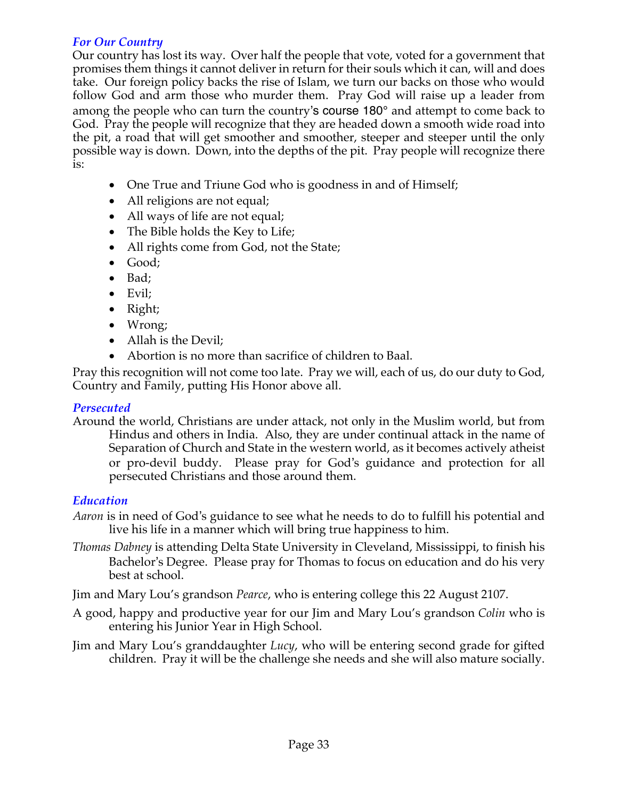### *For Our Country*

Our country has lost its way. Over half the people that vote, voted for a government that promises them things it cannot deliver in return for their souls which it can, will and does take. Our foreign policy backs the rise of Islam, we turn our backs on those who would follow God and arm those who murder them. Pray God will raise up a leader from among the people who can turn the country's course 180° and attempt to come back to God. Pray the people will recognize that they are headed down a smooth wide road into the pit, a road that will get smoother and smoother, steeper and steeper until the only possible way is down. Down, into the depths of the pit. Pray people will recognize there is:

- One True and Triune God who is goodness in and of Himself;
- All religions are not equal;
- All ways of life are not equal;
- The Bible holds the Key to Life;
- All rights come from God, not the State;
- Good;
- Bad;
- Evil;
- Right;
- Wrong;
- Allah is the Devil:
- Abortion is no more than sacrifice of children to Baal.

Pray this recognition will not come too late. Pray we will, each of us, do our duty to God, Country and Family, putting His Honor above all.

## *Persecuted*

Around the world, Christians are under attack, not only in the Muslim world, but from Hindus and others in India. Also, they are under continual attack in the name of Separation of Church and State in the western world, as it becomes actively atheist or pro-devil buddy. Please pray for God's guidance and protection for all persecuted Christians and those around them.

## *Education*

- *Aaron* is in need of God's guidance to see what he needs to do to fulfill his potential and live his life in a manner which will bring true happiness to him.
- *Thomas Dabney* is attending Delta State University in Cleveland, Mississippi, to finish his Bachelor's Degree. Please pray for Thomas to focus on education and do his very best at school.

Jim and Mary Lou's grandson *Pearce*, who is entering college this 22 August 2107.

- A good, happy and productive year for our Jim and Mary Lou's grandson *Colin* who is entering his Junior Year in High School.
- Jim and Mary Lou's granddaughter *Lucy*, who will be entering second grade for gifted children. Pray it will be the challenge she needs and she will also mature socially.